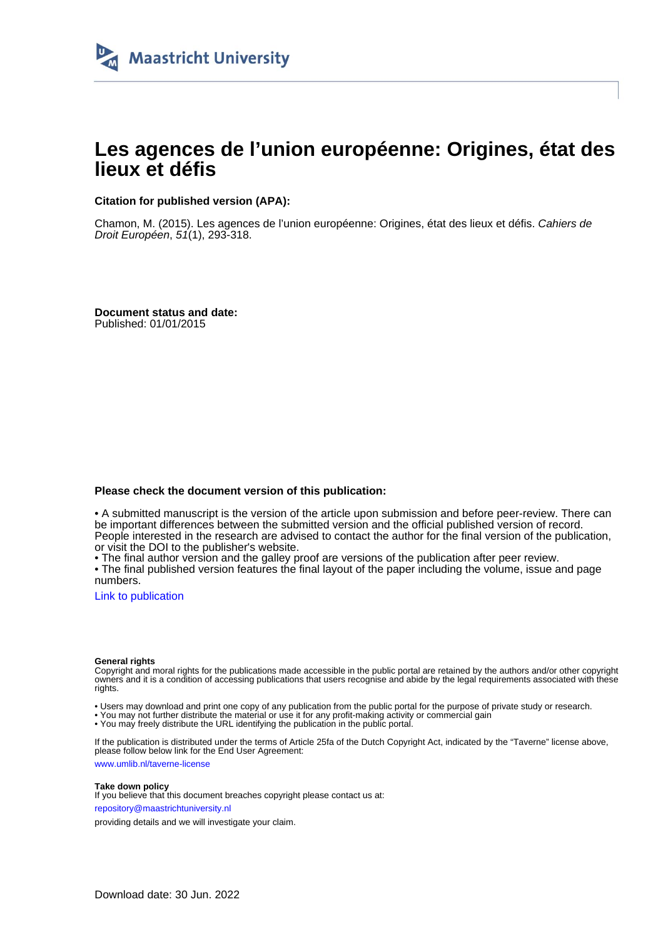

# **Les agences de l'union européenne: Origines, état des lieux et défis**

#### **Citation for published version (APA):**

Chamon, M. (2015). Les agences de l'union européenne: Origines, état des lieux et défis. Cahiers de Droit Européen, 51(1), 293-318.

**Document status and date:** Published: 01/01/2015

#### **Please check the document version of this publication:**

• A submitted manuscript is the version of the article upon submission and before peer-review. There can be important differences between the submitted version and the official published version of record. People interested in the research are advised to contact the author for the final version of the publication, or visit the DOI to the publisher's website.

• The final author version and the galley proof are versions of the publication after peer review.

• The final published version features the final layout of the paper including the volume, issue and page numbers.

[Link to publication](https://cris.maastrichtuniversity.nl/en/publications/a73cb535-f620-44a8-a329-3698e4ae7d69)

#### **General rights**

Copyright and moral rights for the publications made accessible in the public portal are retained by the authors and/or other copyright owners and it is a condition of accessing publications that users recognise and abide by the legal requirements associated with these rights.

• Users may download and print one copy of any publication from the public portal for the purpose of private study or research.

• You may not further distribute the material or use it for any profit-making activity or commercial gain

• You may freely distribute the URL identifying the publication in the public portal.

If the publication is distributed under the terms of Article 25fa of the Dutch Copyright Act, indicated by the "Taverne" license above, please follow below link for the End User Agreement:

www.umlib.nl/taverne-license

#### **Take down policy**

If you believe that this document breaches copyright please contact us at: repository@maastrichtuniversity.nl

providing details and we will investigate your claim.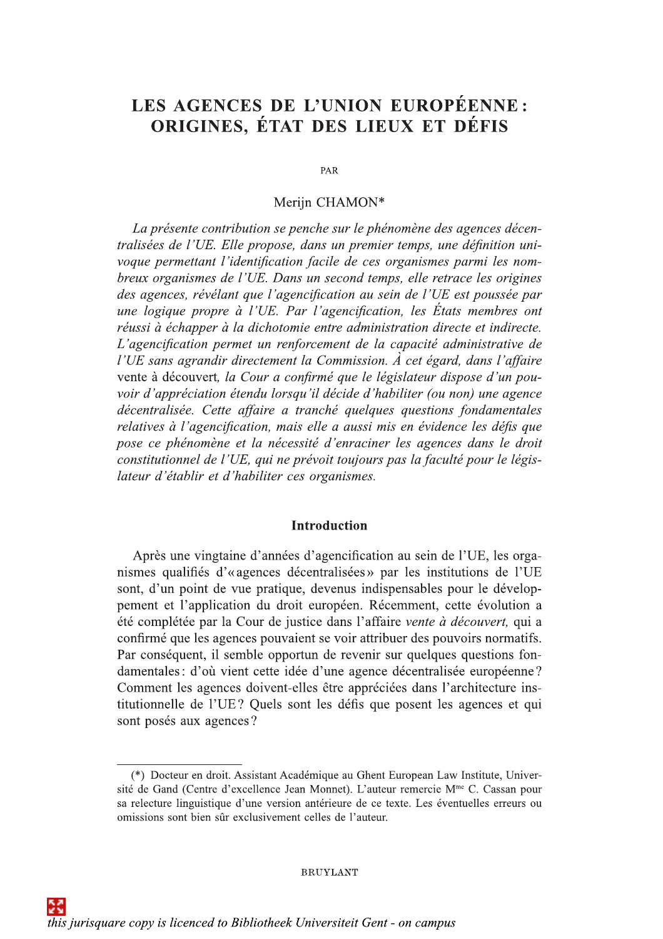# LES AGENCES DE L'UNION EUROPÉENNE : ORIGINES, ÉTAT DES LIEUX ET DÉFIS

PAR

## Meriin CHAMON\*

La présente contribution se penche sur le phénomène des agences décentralisées de l'UE. Elle propose, dans un premier temps, une définition univoque permettant l'identification facile de ces organismes parmi les nombreux organismes de l'UE. Dans un second temps, elle retrace les origines des agences, révélant que l'agencification au sein de l'UE est poussée par une logique propre à l'UE. Par l'agencification, les États membres ont réussi à échapper à la dichotomie entre administration directe et indirecte. L'agencification permet un renforcement de la capacité administrative de l'UE sans agrandir directement la Commission. À cet égard, dans l'affaire vente à découvert, la Cour a confirmé que le législateur dispose d'un pouvoir d'appréciation étendu lorsqu'il décide d'habiliter (ou non) une agence décentralisée. Cette affaire a tranché quelques questions fondamentales relatives à l'agencification, mais elle a aussi mis en évidence les défis que pose ce phénomène et la nécessité d'enraciner les agences dans le droit constitutionnel de l'UE, qui ne prévoit toujours pas la faculté pour le législateur d'établir et d'habiliter ces organismes.

## **Introduction**

Après une vingtaine d'années d'agencification au sein de l'UE, les organismes qualifiés d'«agences décentralisées» par les institutions de l'UE sont, d'un point de vue pratique, devenus indispensables pour le développement et l'application du droit européen. Récemment, cette évolution a été complétée par la Cour de justice dans l'affaire vente à découvert, qui a confirmé que les agences pouvaient se voir attribuer des pouvoirs normatifs. Par conséquent, il semble opportun de revenir sur quelques questions fondamentales : d'où vient cette idée d'une agence décentralisée européenne? Comment les agences doivent-elles être appréciées dans l'architecture institutionnelle de l'UE? Quels sont les défis que posent les agences et qui sont posés aux agences?

<sup>(\*)</sup> Docteur en droit. Assistant Académique au Ghent European Law Institute, Université de Gand (Centre d'excellence Jean Monnet). L'auteur remercie M<sup>me</sup> C. Cassan pour sa relecture linguistique d'une version antérieure de ce texte. Les éventuelles erreurs ou omissions sont bien sûr exclusivement celles de l'auteur.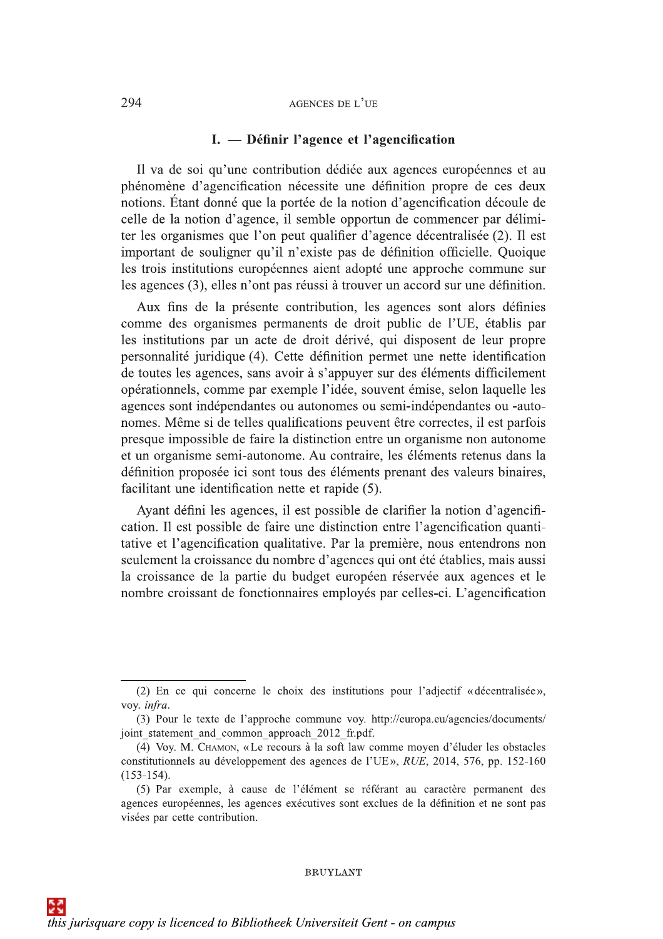## I. — Définir l'agence et l'agencification

Il va de soi qu'une contribution dédiée aux agences européennes et au phénomène d'agencification nécessite une définition propre de ces deux notions. Étant donné que la portée de la notion d'agencification découle de celle de la notion d'agence, il semble opportun de commencer par délimiter les organismes que l'on peut qualifier d'agence décentralisée (2). Il est important de souligner qu'il n'existe pas de définition officielle. Quoique les trois institutions européennes aient adopté une approche commune sur les agences (3), elles n'ont pas réussi à trouver un accord sur une définition.

Aux fins de la présente contribution, les agences sont alors définies comme des organismes permanents de droit public de l'UE, établis par les institutions par un acte de droit dérivé, qui disposent de leur propre personnalité juridique (4). Cette définition permet une nette identification de toutes les agences, sans avoir à s'appuyer sur des éléments difficilement opérationnels, comme par exemple l'idée, souvent émise, selon laquelle les agences sont indépendantes ou autonomes ou semi-indépendantes ou -autonomes. Même si de telles qualifications peuvent être correctes, il est parfois presque impossible de faire la distinction entre un organisme non autonome et un organisme semi-autonome. Au contraire, les éléments retenus dans la définition proposée ici sont tous des éléments prenant des valeurs binaires, facilitant une identification nette et rapide (5).

Ayant défini les agences, il est possible de clarifier la notion d'agencification. Il est possible de faire une distinction entre l'agencification quantitative et l'agencification qualitative. Par la première, nous entendrons non seulement la croissance du nombre d'agences qui ont été établies, mais aussi la croissance de la partie du budget européen réservée aux agences et le nombre croissant de fonctionnaires employés par celles-ci. L'agencification

<sup>(2)</sup> En ce qui concerne le choix des institutions pour l'adjectif «décentralisée», voy. infra.

<sup>(3)</sup> Pour le texte de l'approche commune voy. http://europa.eu/agencies/documents/ joint statement and common approach 2012 fr.pdf.

<sup>(4)</sup> Voy. M. CHAMON, «Le recours à la soft law comme moyen d'éluder les obstacles constitutionnels au développement des agences de l'UE», RUE, 2014, 576, pp. 152-160  $(153-154).$ 

<sup>(5)</sup> Par exemple, à cause de l'élément se référant au caractère permanent des agences européennes, les agences exécutives sont exclues de la définition et ne sont pas visées par cette contribution.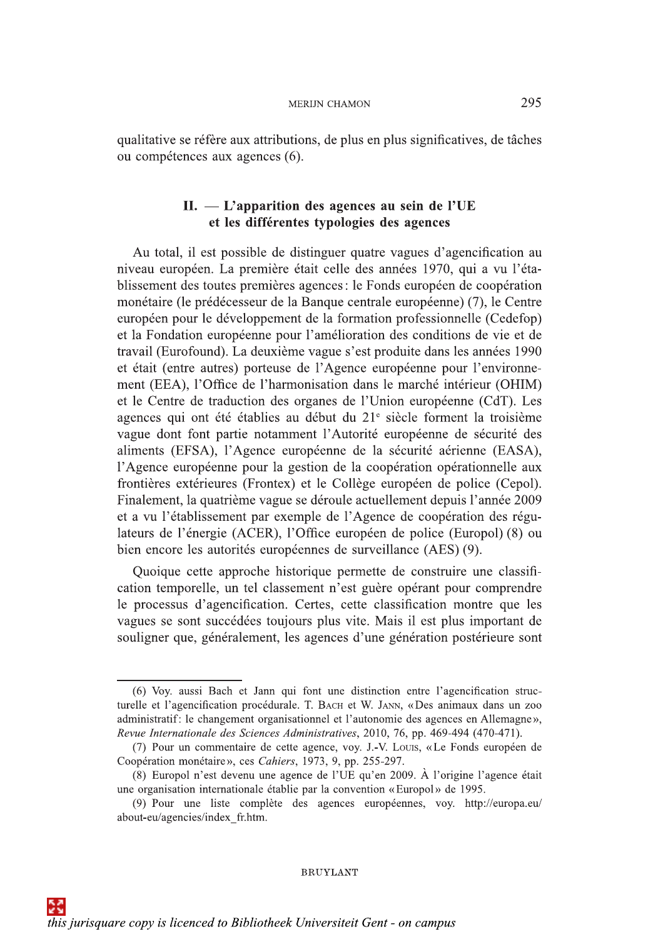qualitative se réfère aux attributions, de plus en plus significatives, de tâches ou compétences aux agences (6).

## $II. - L'$ apparition des agences au sein de l'UE et les différentes typologies des agences

Au total, il est possible de distinguer quatre vagues d'agencification au niveau européen. La première était celle des années 1970, qui a vu l'établissement des toutes premières agences : le Fonds européen de coopération monétaire (le prédécesseur de la Banque centrale européenne) (7), le Centre européen pour le développement de la formation professionnelle (Cedefop) et la Fondation européenne pour l'amélioration des conditions de vie et de travail (Eurofound). La deuxième vague s'est produite dans les années 1990 et était (entre autres) porteuse de l'Agence européenne pour l'environnement (EEA), l'Office de l'harmonisation dans le marché intérieur (OHIM) et le Centre de traduction des organes de l'Union européenne (CdT). Les agences qui ont été établies au début du 21<sup>e</sup> siècle forment la troisième vague dont font partie notamment l'Autorité européenne de sécurité des aliments (EFSA), l'Agence européenne de la sécurité aérienne (EASA), l'Agence européenne pour la gestion de la coopération opérationnelle aux frontières extérieures (Frontex) et le Collège européen de police (Cepol). Finalement, la quatrième vague se déroule actuellement depuis l'année 2009 et a vu l'établissement par exemple de l'Agence de coopération des régulateurs de l'énergie (ACER), l'Office européen de police (Europol) (8) ou bien encore les autorités européennes de surveillance (AES) (9).

Quoique cette approche historique permette de construire une classification temporelle, un tel classement n'est guère opérant pour comprendre le processus d'agencification. Certes, cette classification montre que les vagues se sont succédées toujours plus vite. Mais il est plus important de souligner que, généralement, les agences d'une génération postérieure sont

<sup>(6)</sup> Voy, aussi Bach et Jann qui font une distinction entre l'agencification structurelle et l'agencification procédurale. T. BACH et W. JANN, «Des animaux dans un zoo administratif: le changement organisationnel et l'autonomie des agences en Allemagne», Revue Internationale des Sciences Administratives, 2010, 76, pp. 469-494 (470-471).

<sup>(7)</sup> Pour un commentaire de cette agence, voy. J.-V. Louis, «Le Fonds européen de Coopération monétaire», ces Cahiers, 1973, 9, pp. 255-297.

<sup>(8)</sup> Europol n'est devenu une agence de l'UE qu'en 2009. À l'origine l'agence était une organisation internationale établie par la convention «Europol» de 1995.

<sup>(9)</sup> Pour une liste complète des agences européennes, voy. http://europa.eu/ about-eu/agencies/index fr.htm.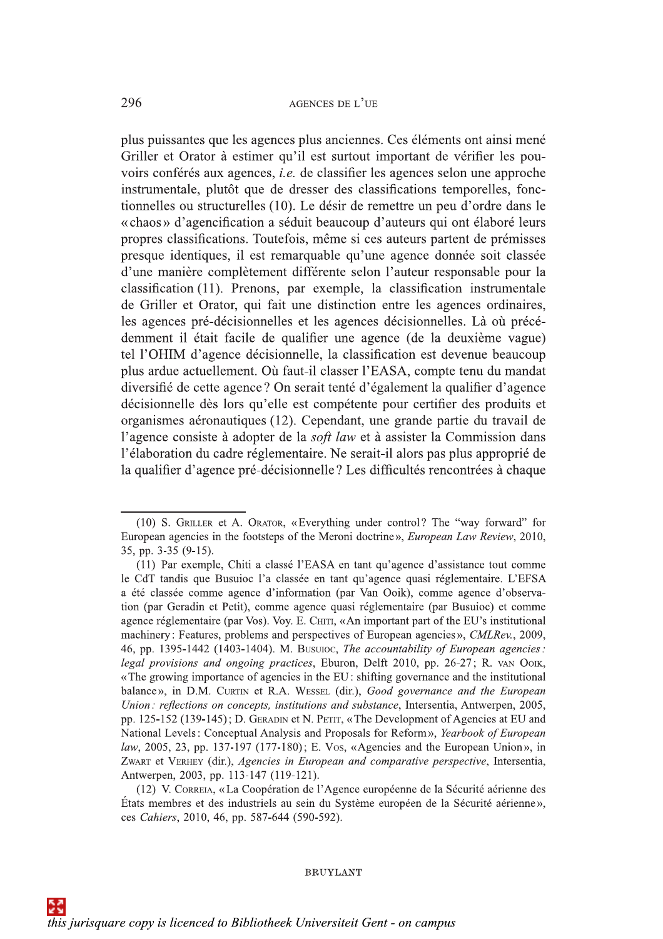plus puissantes que les agences plus anciennes. Ces éléments ont ainsi mené Griller et Orator à estimer qu'il est surtout important de vérifier les pouvoirs conférés aux agences, *i.e.* de classifier les agences selon une approche instrumentale, plutôt que de dresser des classifications temporelles, fonctionnelles ou structurelles (10). Le désir de remettre un peu d'ordre dans le « chaos » d'agencification a séduit beaucoup d'auteurs qui ont élaboré leurs propres classifications. Toutefois, même si ces auteurs partent de prémisses presque identiques, il est remarquable qu'une agence donnée soit classée d'une manière complètement différente selon l'auteur responsable pour la classification (11). Prenons, par exemple, la classification instrumentale de Griller et Orator, qui fait une distinction entre les agences ordinaires, les agences pré-décisionnelles et les agences décisionnelles. Là où précédemment il était facile de qualifier une agence (de la deuxième vague) tel l'OHIM d'agence décisionnelle, la classification est devenue beaucoup plus ardue actuellement. Où faut-il classer l'EASA, compte tenu du mandat diversifié de cette agence? On serait tenté d'également la qualifier d'agence décisionnelle dès lors qu'elle est compétente pour certifier des produits et organismes aéronautiques (12). Cependant, une grande partie du travail de l'agence consiste à adopter de la soft law et à assister la Commission dans l'élaboration du cadre réglementaire. Ne serait-il alors pas plus approprié de la qualifier d'agence pré-décisionnelle? Les difficultés rencontrées à chaque

<sup>(10)</sup> S. GRILLER et A. ORATOR, «Everything under control? The "way forward" for European agencies in the footsteps of the Meroni doctrine», *European Law Review*, 2010,  $35$ , pp.  $3-35$  (9-15).

<sup>(11)</sup> Par exemple, Chiti a classé l'EASA en tant qu'agence d'assistance tout comme le CdT tandis que Busuioc l'a classée en tant qu'agence quasi réglementaire. L'EFSA a été classée comme agence d'information (par Van Ooik), comme agence d'observation (par Geradin et Petit), comme agence quasi réglementaire (par Busuioc) et comme agence réglementaire (par Vos). Voy. E. CHITI, «An important part of the EU's institutional machinery: Features, problems and perspectives of European agencies», CMLRev., 2009, 46, pp. 1395-1442 (1403-1404). M. Busutoc, The accountability of European agencies: legal provisions and ongoing practices, Eburon, Delft 2010, pp. 26-27; R. vAN OOIK, «The growing importance of agencies in the EU: shifting governance and the institutional balance», in D.M. CURTIN et R.A. WESSEL (dir.), Good governance and the European Union: reflections on concepts, institutions and substance, Intersentia, Antwerpen, 2005, pp. 125-152 (139-145); D. GERADIN et N. PETIT, «The Development of Agencies at EU and National Levels: Conceptual Analysis and Proposals for Reform», Yearbook of European law, 2005, 23, pp. 137-197 (177-180); E. Vos, «Agencies and the European Union», in ZWART et VERHEY (dir.), Agencies in European and comparative perspective, Intersentia, Antwerpen, 2003, pp. 113-147 (119-121).

<sup>(12)</sup> V. CORREIA, «La Coopération de l'Agence européenne de la Sécurité aérienne des États membres et des industriels au sein du Système européen de la Sécurité aérienne». ces Cahiers, 2010, 46, pp. 587-644 (590-592).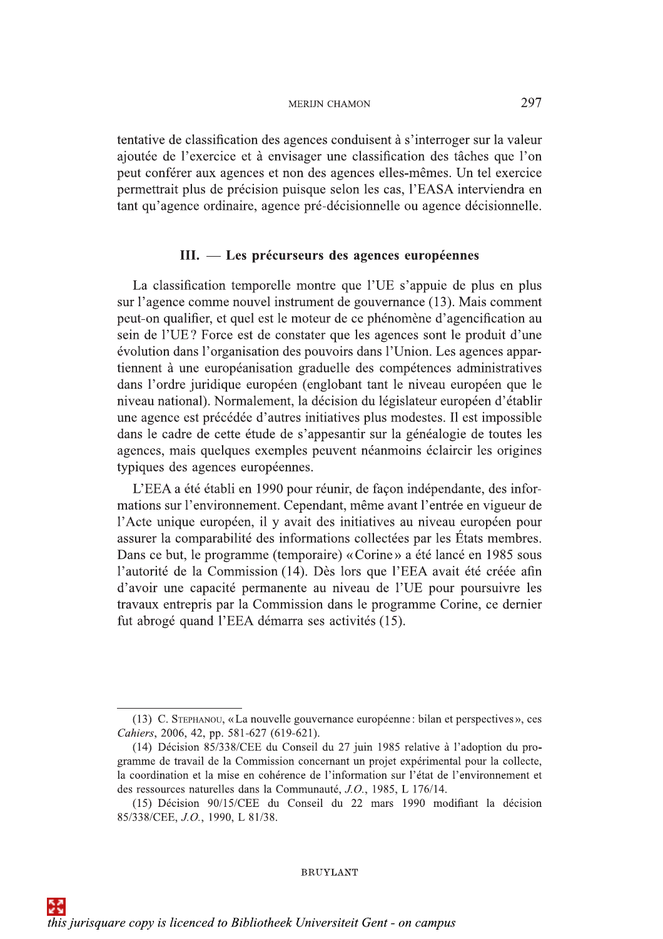tentative de classification des agences conduisent à s'interroger sur la valeur ajoutée de l'exercice et à envisager une classification des tâches que l'on peut conférer aux agences et non des agences elles-mêmes. Un tel exercice permettrait plus de précision puisque selon les cas, l'EASA interviendra en tant qu'agence ordinaire, agence pré-décisionnelle ou agence décisionnelle.

## III. — Les précurseurs des agences européennes

La classification temporelle montre que l'UE s'appuie de plus en plus sur l'agence comme nouvel instrument de gouvernance (13). Mais comment peut-on qualifier, et quel est le moteur de ce phénomène d'agencification au sein de l'UE? Force est de constater que les agences sont le produit d'une évolution dans l'organisation des pouvoirs dans l'Union. Les agences appartiennent à une européanisation graduelle des compétences administratives dans l'ordre juridique européen (englobant tant le niveau européen que le niveau national). Normalement, la décision du législateur européen d'établir une agence est précédée d'autres initiatives plus modestes. Il est impossible dans le cadre de cette étude de s'appesantir sur la généalogie de toutes les agences, mais quelques exemples peuvent néanmoins éclaircir les origines typiques des agences européennes.

L'EEA a été établi en 1990 pour réunir, de façon indépendante, des informations sur l'environnement. Cependant, même avant l'entrée en vigueur de l'Acte unique européen, il y avait des initiatives au niveau européen pour assurer la comparabilité des informations collectées par les États membres. Dans ce but, le programme (temporaire) «Corine» a été lancé en 1985 sous l'autorité de la Commission (14). Dès lors que l'EEA avait été créée afin d'avoir une capacité permanente au niveau de l'UE pour poursuivre les travaux entrepris par la Commission dans le programme Corine, ce dernier fut abrogé quand l'EEA démarra ses activités (15).

<sup>(13)</sup> C. STEPHANOU, «La nouvelle gouvernance européenne : bilan et perspectives», ces Cahiers, 2006, 42, pp. 581-627 (619-621).

<sup>(14)</sup> Décision 85/338/CEE du Conseil du 27 juin 1985 relative à l'adoption du programme de travail de la Commission concernant un projet expérimental pour la collecte, la coordination et la mise en cohérence de l'information sur l'état de l'environnement et des ressources naturelles dans la Communauté, J.O., 1985, L 176/14.

<sup>(15)</sup> Décision 90/15/CEE du Conseil du 22 mars 1990 modifiant la décision 85/338/CEE, J.O., 1990, L 81/38.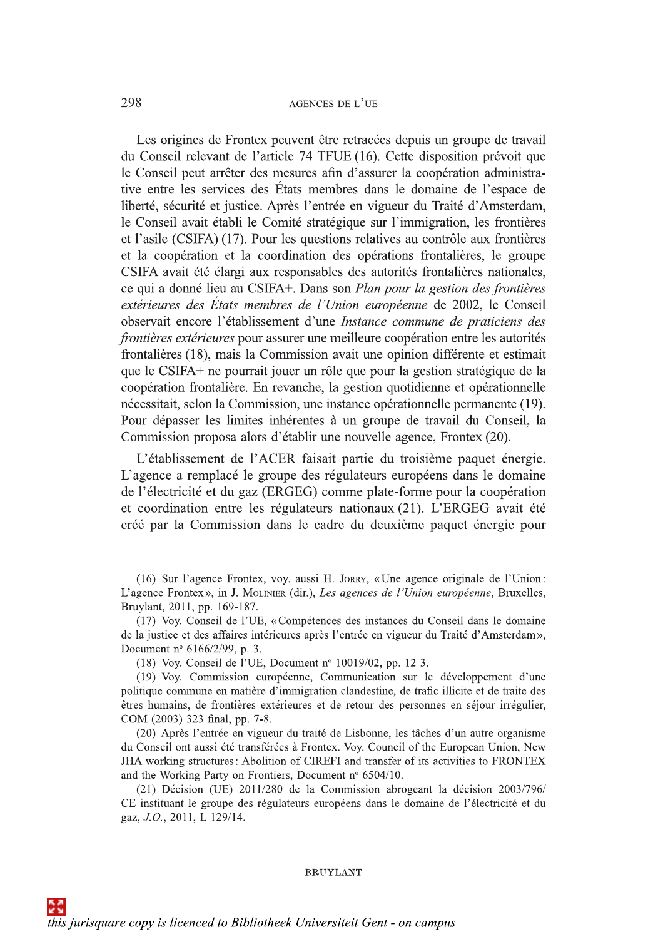298<br>
Les origines de Frontex peuvent être retracées depuis un groupe de travail<br>
du Conseil relevant de l'article 74 TFUE (16). Cette disposition prévoit que<br>
le Conseil peut arrêter des mesures afin d'assurer la coopérat 208<br>
2.6 cordigins de Frantz paravers des vertreiss deprés in groups de raveal<br>
du Cordist referents de Tardis. Na TULT (16). Celse déposition protont que<br>
tien cordiste de Tardis. Na Europe de Tardis. Na Europe de Tardi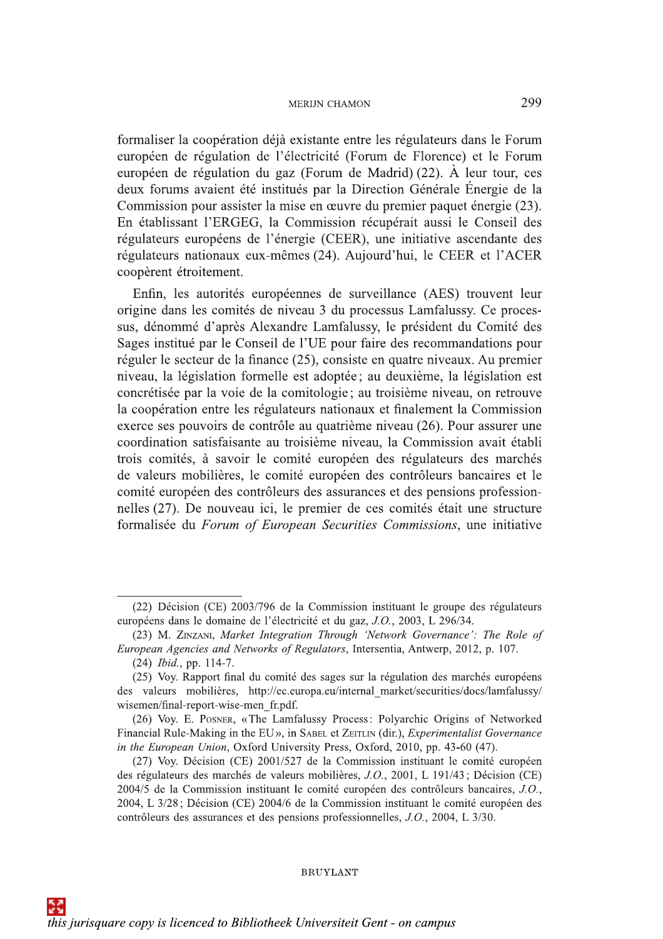formaliser la coopération déjà existante entre les régulateurs dans le Forum européen de régulation de l'électricité (Forum de Florence) et le Forum européen de régulation du gaz (Forum de Madrid) (22). À leur tour, ces deux forums avaient été institués par la Direction Générale Énergie de la Commission pour assister la mise en œuvre du premier paquet énergie (23). En établissant l'ERGEG, la Commission récupérait aussi le Conseil des régulateurs européens de l'énergie (CEER), une initiative ascendante des régulateurs nationaux eux-mêmes (24). Aujourd'hui, le CEER et l'ACER coopèrent étroitement.

Enfin, les autorités européennes de surveillance (AES) trouvent leur origine dans les comités de niveau 3 du processus Lamfalussy. Ce processus, dénommé d'après Alexandre Lamfalussy, le président du Comité des Sages institué par le Conseil de l'UE pour faire des recommandations pour réguler le secteur de la finance (25), consiste en quatre niveaux. Au premier niveau, la législation formelle est adoptée; au deuxième, la législation est concrétisée par la voie de la comitologie; au troisième niveau, on retrouve la coopération entre les régulateurs nationaux et finalement la Commission exerce ses pouvoirs de contrôle au quatrième niveau (26). Pour assurer une coordination satisfaisante au troisième niveau, la Commission avait établi trois comités, à savoir le comité européen des régulateurs des marchés de valeurs mobilières, le comité européen des contrôleurs bancaires et le comité européen des contrôleurs des assurances et des pensions professionnelles (27). De nouveau ici, le premier de ces comités était une structure formalisée du Forum of European Securities Commissions, une initiative

<sup>(22)</sup> Décision (CE) 2003/796 de la Commission instituant le groupe des régulateurs européens dans le domaine de l'électricité et du gaz, J.O., 2003, L 296/34.

<sup>(23)</sup> M. ZINZANI, Market Integration Through 'Network Governance': The Role of European Agencies and Networks of Regulators, Intersentia, Antwerp, 2012, p. 107.

<sup>(24)</sup> Ibid., pp. 114-7.

<sup>(25)</sup> Voy. Rapport final du comité des sages sur la régulation des marchés européens des valeurs mobilières, http://ec.europa.eu/internal market/securities/docs/lamfalussy/ wisemen/final-report-wise-men fr.pdf.

<sup>(26)</sup> Voy. E. POSNER, «The Lamfalussy Process: Polyarchic Origins of Networked Financial Rule-Making in the EU», in SABEL et ZEITLIN (dir.), Experimentalist Governance in the European Union, Oxford University Press, Oxford, 2010, pp. 43-60 (47).

<sup>(27)</sup> Voy. Décision (CE) 2001/527 de la Commission instituant le comité européen des régulateurs des marchés de valeurs mobilières, J.O., 2001, L 191/43; Décision (CE) 2004/5 de la Commission instituant le comité européen des contrôleurs bancaires, J.O., 2004, L 3/28; Décision (CE) 2004/6 de la Commission instituant le comité européen des contrôleurs des assurances et des pensions professionnelles, J.O., 2004, L 3/30.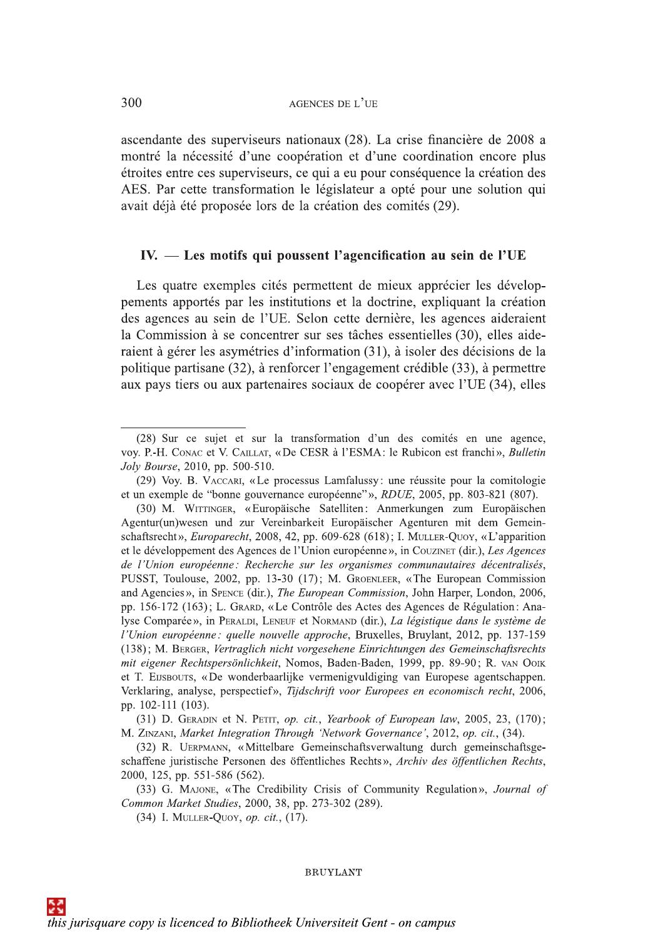ascendante des superviseurs nationaux (28). La crise financière de 2008 a montré la nécessité d'une coopération et d'une coordination encore plus étroites entre ces superviseurs, ce qui a eu pour conséquence la création des AES. Par cette transformation le législateur a opté pour une solution qui avait déjà été proposée lors de la création des comités (29).

## IV. — Les motifs qui poussent l'agencification au sein de l'UE

Les quatre exemples cités permettent de mieux apprécier les développements apportés par les institutions et la doctrine, expliquant la création des agences au sein de l'UE. Selon cette dernière, les agences aideraient la Commission à se concentrer sur ses tâches essentielles (30), elles aideraient à gérer les asymétries d'information (31), à isoler des décisions de la politique partisane (32), à renforcer l'engagement crédible (33), à permettre aux pays tiers ou aux partenaires sociaux de coopérer avec l'UE (34), elles

<sup>(28)</sup> Sur ce sujet et sur la transformation d'un des comités en une agence, VOY. P.-H. CONAC et V. CAILLAT, «De CESR à l'ESMA: le Rubicon est franchi», Bulletin Joly Bourse, 2010, pp. 500-510.

<sup>(29)</sup> Voy. B. VACCARI, «Le processus Lamfalussy: une réussite pour la comitologie et un exemple de "bonne gouvernance européenne"», RDUE, 2005, pp. 803-821 (807).

<sup>(30)</sup> M. WITTINGER, «Europäische Satelliten: Anmerkungen zum Europäischen Agentur(un)wesen und zur Vereinbarkeit Europäischer Agenturen mit dem Gemeinschaftsrecht», *Europarecht*, 2008, 42, pp. 609-628 (618); I. MULLER-QUOY, «L'apparition et le développement des Agences de l'Union européenne», in Couziner (dir.), Les Agences de l'Union européenne : Recherche sur les organismes communautaires décentralisés, PUSST, Toulouse, 2002, pp. 13-30 (17); M. GROENLEER, «The European Commission and Agencies», in Spence (dir.), The European Commission, John Harper, London, 2006, pp. 156-172 (163); L. GRARD, «Le Contrôle des Actes des Agences de Régulation: Analyse Comparée», in PERALDI, LENEUF et NORMAND (dir.), La légistique dans le système de l'Union européenne : quelle nouvelle approche, Bruxelles, Bruylant, 2012, pp. 137-159 (138); M. BERGER, Vertraglich nicht vorgesehene Einrichtungen des Gemeinschaftsrechts mit eigener Rechtspersönlichkeit, Nomos, Baden-Baden, 1999, pp. 89-90; R. VAN OOIK et T. EUSBOUTS, «De wonderbaarlijke vermenigvuldiging van Europese agentschappen. Verklaring, analyse, perspectief», Tijdschrift voor Europees en economisch recht, 2006, pp. 102-111 (103).

<sup>(31)</sup> D. GERADIN et N. PETIT, op. cit., Yearbook of European law, 2005, 23, (170); M. ZINZANI, Market Integration Through 'Network Governance', 2012, op. cit., (34).

<sup>(32)</sup> R. UERPMANN, «Mittelbare Gemeinschaftsverwaltung durch gemeinschaftsgeschaffene juristische Personen des öffentliches Rechts», Archiv des öffentlichen Rechts, 2000, 125, pp. 551-586 (562).

<sup>(33)</sup> G. MAJONE, «The Credibility Crisis of Community Regulation», Journal of Common Market Studies, 2000, 38, pp. 273-302 (289).

<sup>(34)</sup> I. MULLER-QUOY, op. cit., (17).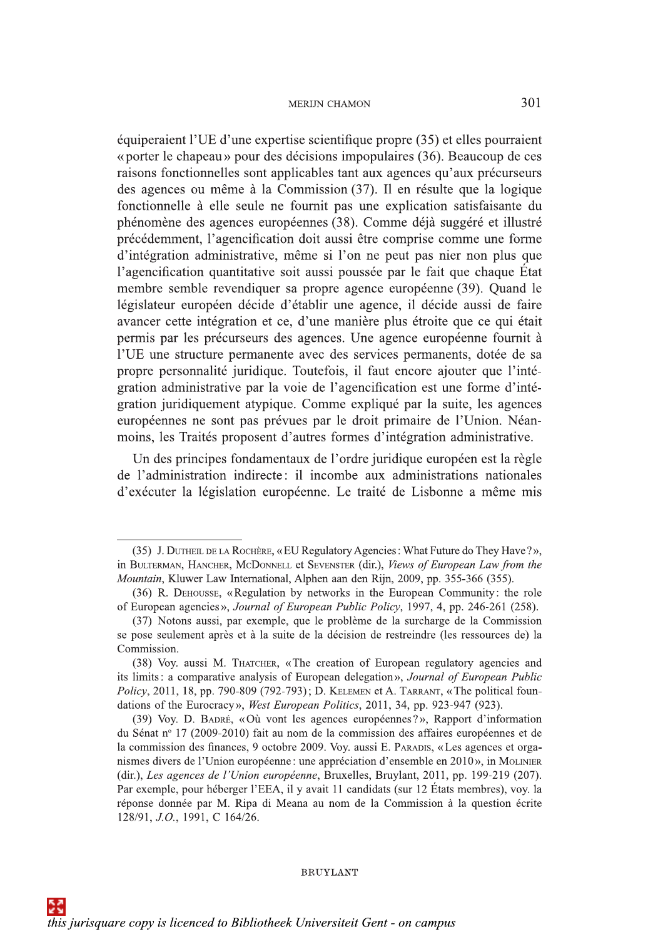MERIIN CHAMON 2011 (1997)<br>
Squipernient l'UE d'une expertise scientifique propre (35) et elles pourraient<br>
«porter le chapeau» pour des décisions impopulaires (36). Beaucoup de ces<br>
raisons fonctionnelles sont applicables d'integration administrative, sieme si l'on ne peut pas ner non plus que<br>l'agencification quantitative soit aussi poussée par le fait que chaque État<br>membre semble revendiquer sa propre agence, il décide aussi de faire<br>ava moins, les Traités proposent d'autres formes d'intégration administrative.

Un des principes fondamentaux de l'ordre juridique européen est la règle de l'administration indirecte: il incombe aux administrations nationales d'exécuter la législation européenne. Le traité de Lisbonne a même mis

<sup>(35)</sup> J. DUTHEIL DE LA ROCHÈRE, «EU Regulatory Agencies: What Future do They Have?», in BULTERMAN, HANCHER, MCDONNELL et SEVENSTER (dir.), Views of European Law from the Mountain, Kluwer Law International, Alphen aan den Rijn, 2009, pp. 355-366 (355).

<sup>(36)</sup> R. DEHOUSSE, «Regulation by networks in the European Community: the role of European agencies», Journal of European Public Policy, 1997, 4, pp. 246-261 (258).

<sup>(37)</sup> Notons aussi, par exemple, que le problème de la surcharge de la Commission se pose seulement après et à la suite de la décision de restreindre (les ressources de) la Commission.

<sup>(38)</sup> Voy. aussi M. THATCHER, «The creation of European regulatory agencies and its limits: a comparative analysis of European delegation», Journal of European Public Policy, 2011, 18, pp. 790-809 (792-793); D. KELEMEN et A. TARRANT, «The political foundations of the Eurocracy», West European Politics, 2011, 34, pp. 923-947 (923).

<sup>(39)</sup> Voy. D. BADRÉ, «Où vont les agences européennes?», Rapport d'information du Sénat nº 17 (2009-2010) fait au nom de la commission des affaires européennes et de se pose seumement apres et a la sutte de la decision de restremare (les ressources de) la<br>Commission.<br>(38) Voy. aussi M. THATCHER, «The creation of European regulatory agencies and<br>its limits : a comparative analysis of E (dir.), Les agences de l'Union européenne, Bruxelles, Bruylant, 2011, pp. 199-219 (207). Par exemple, pour héberger l'EEA, il y avait 11 candidats (sur 12 États membres), voy, la réponse donnée par M. Ripa di Meana au nom de la Commission à la question écrite 128/91, J.O., 1991, C 164/26.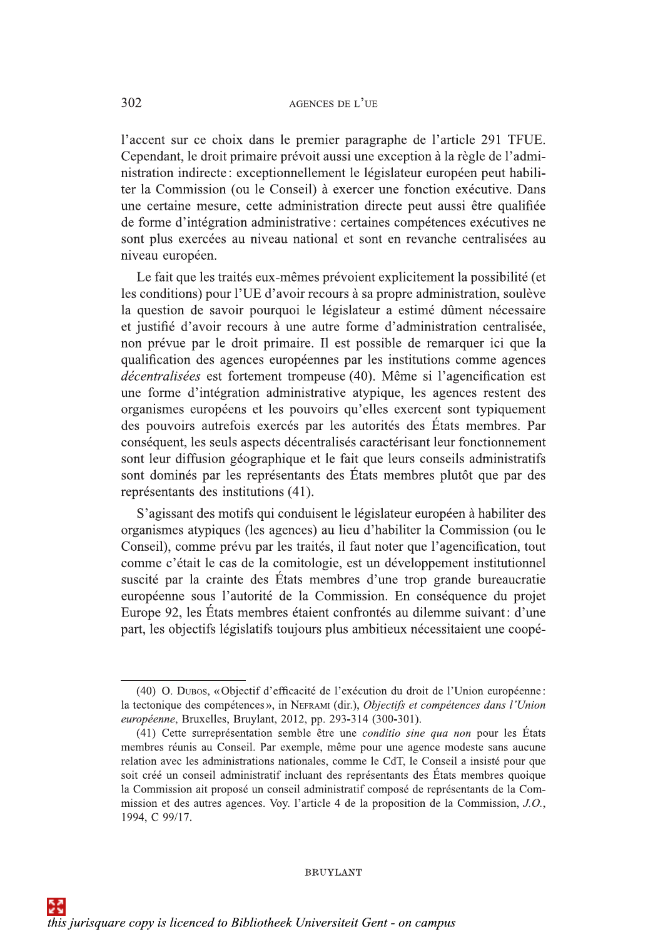l'accent sur ce choix dans le premier paragraphe de l'article 291 TFUE. Cependant, le droit primaire prévoit aussi une exception à la règle de l'administration indirecte : exceptionnellement le législateur européen peut habiliter la Commission (ou le Conseil) à exercer une fonction exécutive. Dans une certaine mesure, cette administration directe peut aussi être qualifiée de forme d'intégration administrative : certaines compétences exécutives ne sont plus exercées au niveau national et sont en revanche centralisées au niveau européen.

Le fait que les traités eux-mêmes prévoient explicitement la possibilité (et les les conditions) pour l'UE d'avoir recours à sa propre administration, soulève la question de savoir pourquoi le législateur a estimé dûment nécessaire et justifié d'avoir recours à une autre forme d'administration centralisée, non prévue par le droit primaire. Il est possible de remarquer ici que la qualification des agences européennes par les institutions comme agences décentralisées est fortement trompeuse (40). Même si l'agencification est une forme d'intégration administrative atypique, les agences restent des organismes européens et les pouvoirs qu'elles exercent sont typiquement des pouvoirs autrefois exercés par les autorités des États membres. Par conséquent, les seuls aspects décentralisés caractérisant leur fonctionnement sont leur diffusion géographique et le fait que leurs conseils administratifs sont dominés par les représentants des États membres plutôt que par des représentants des institutions (41).

S'agissant des motifs qui conduisent le législateur européen à habiliter des organismes atypiques (les agences) au lieu d'habiliter la Commission (ou le Conseil), comme prévu par les traités, il faut noter que l'agencification, tout comme c'était le cas de la comitologie, est un développement institutionnel suscité par la crainte des États membres d'une trop grande bureaucratie européenne sous l'autorité de la Commission. En conséquence du projet Europe 92, les États membres étaient confrontés au dilemme suivant: d'une part, les objectifs législatifs toujours plus ambitieux nécessitaient une coopé-

<sup>(40)</sup> O. DUBOS, «Objectif d'efficacité de l'exécution du droit de l'Union européenne: la tectonique des compétences », in NEFRAMI (dir.), Objectifs et compétences dans l'Union européenne, Bruxelles, Bruylant, 2012, pp. 293-314 (300-301).

<sup>(41)</sup> Cette surreprésentation semble être une *conditio sine qua non* pour les États membres réunis au Conseil. Par exemple, même pour une agence modeste sans aucune relation avec les administrations nationales, comme le CdT, le Conseil a insisté pour que soit créé un conseil administratif incluant des représentants des États membres quoique la Commission ait proposé un conseil administratif composé de représentants de la Commission et des autres agences. Voy. l'article 4 de la proposition de la Commission, J.O., 1994, C 99/17.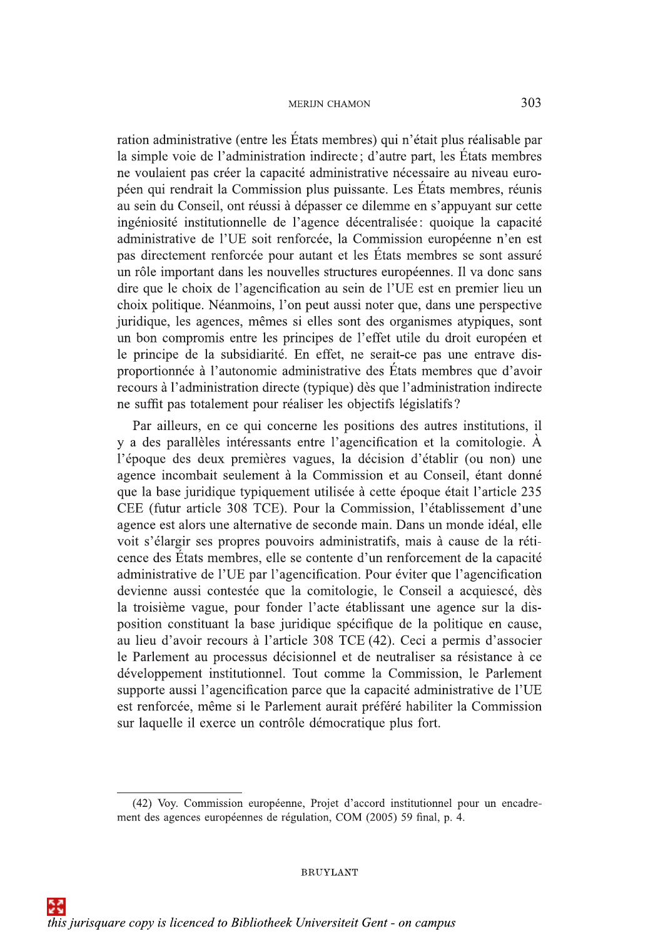ration administrative (entre les États membres) qui n'était plus réalisable par la simple voie de l'administration indirecte; d'autre part, les États membres ne voulaient pas créer la capacité administrative nécessaire au niveau européen qui rendrait la Commission plus puissante. Les États membres, réunis au sein du Conseil, ont réussi à dépasser ce dilemme en s'appuyant sur cette ingéniosité institutionnelle de l'agence décentralisée: quoique la capacité administrative de l'UE soit renforcée, la Commission européenne n'en est pas directement renforcée pour autant et les États membres se sont assuré un rôle important dans les nouvelles structures européennes. Il va donc sans dire que le choix de l'agencification au sein de l'UE est en premier lieu un choix politique. Néanmoins, l'on peut aussi noter que, dans une perspective juridique, les agences, mêmes si elles sont des organismes atypiques, sont un bon compromis entre les principes de l'effet utile du droit européen et le principe de la subsidiarité. En effet, ne serait-ce pas une entrave disproportionnée à l'autonomie administrative des États membres que d'avoir recours à l'administration directe (typique) dès que l'administration indirecte ne suffit pas totalement pour réaliser les objectifs législatifs?

Par ailleurs, en ce qui concerne les positions des autres institutions, il y a des parallèles intéressants entre l'agencification et la comitologie. À l'époque des deux premières vagues, la décision d'établir (ou non) une agence incombait seulement à la Commission et au Conseil, étant donné que la base juridique typiquement utilisée à cette époque était l'article 235 CEE (futur article 308 TCE). Pour la Commission, l'établissement d'une agence est alors une alternative de seconde main. Dans un monde idéal, elle voit s'élargir ses propres pouvoirs administratifs, mais à cause de la réticence des États membres, elle se contente d'un renforcement de la capacité administrative de l'UE par l'agencification. Pour éviter que l'agencification devienne aussi contestée que la comitologie, le Conseil a acquiescé, dès la troisième vague, pour fonder l'acte établissant une agence sur la disposition constituant la base juridique spécifique de la politique en cause, au lieu d'avoir recours à l'article 308 TCE (42). Ceci a permis d'associer le Parlement au processus décisionnel et de neutraliser sa résistance à ce développement institutionnel. Tout comme la Commission, le Parlement supporte aussi l'agencification parce que la capacité administrative de l'UE est renforcée, même si le Parlement aurait préféré habiliter la Commission sur laquelle il exerce un contrôle démocratique plus fort.

<sup>(42)</sup> Voy. Commission européenne, Projet d'accord institutionnel pour un encadrement des agences européennes de régulation, COM (2005) 59 final, p. 4.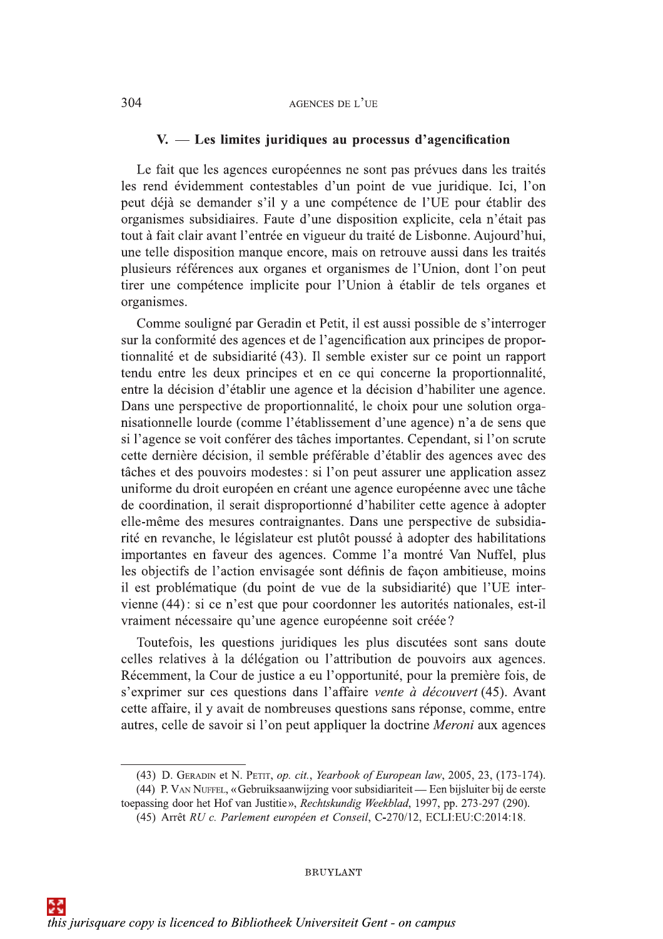## $V.$  — Les limites juridiques au processus d'agencification

Le fait que les agences européennes ne sont pas prévues dans les traités les rend évidemment contestables d'un point de vue juridique. Ici, l'on peut déjà se demander s'il y a une compétence de l'UE pour établir des organismes subsidiaires. Faute d'une disposition explicite, cela n'était pas tout à fait clair avant l'entrée en vigueur du traité de Lisbonne. Aujourd'hui, une telle disposition manque encore, mais on retrouve aussi dans les traités plusieurs références aux organes et organismes de l'Union, dont l'on peut tirer une compétence implicite pour l'Union à établir de tels organes et organismes.

Comme souligné par Geradin et Petit, il est aussi possible de s'interroger sur la conformité des agences et de l'agencification aux principes de proportionnalité et de subsidiarité (43). Il semble exister sur ce point un rapport tendu entre les deux principes et en ce qui concerne la proportionnalité, entre la décision d'établir une agence et la décision d'habiliter une agence. Dans une perspective de proportionnalité, le choix pour une solution organisationnelle lourde (comme l'établissement d'une agence) n'a de sens que si l'agence se voit conférer des tâches importantes. Cependant, si l'on scrute cette dernière décision, il semble préférable d'établir des agences avec des tâches et des pouvoirs modestes : si l'on peut assurer une application assez uniforme du droit européen en créant une agence européenne avec une tâche de coordination, il serait disproportionné d'habiliter cette agence à adopter elle-même des mesures contraignantes. Dans une perspective de subsidiarité en revanche, le législateur est plutôt poussé à adopter des habilitations importantes en faveur des agences. Comme l'a montré Van Nuffel, plus les objectifs de l'action envisagée sont définis de façon ambitieuse, moins il est problématique (du point de vue de la subsidiarité) que l'UE intervienne (44): si ce n'est que pour coordonner les autorités nationales, est-il vraiment nécessaire qu'une agence européenne soit créée?

Toutefois, les questions juridiques les plus discutées sont sans doute celles relatives à la délégation ou l'attribution de pouvoirs aux agences. Récemment, la Cour de justice a eu l'opportunité, pour la première fois, de s'exprimer sur ces questions dans l'affaire vente à découvert (45). Avant cette affaire, il y avait de nombreuses questions sans réponse, comme, entre autres, celle de savoir si l'on peut appliquer la doctrine Meroni aux agences

<sup>(43)</sup> D. GERADIN et N. PETIT, op. cit., Yearbook of European law, 2005, 23, (173-174).

<sup>(44)</sup> P. VAN NUFFEL, «Gebruiksaanwijzing voor subsidiariteit — Een bijsluiter bij de eerste toepassing door het Hof van Justitie», Rechtskundig Weekblad, 1997, pp. 273-297 (290).

<sup>(45)</sup> Arrêt RU c. Parlement européen et Conseil, C-270/12, ECLI:EU:C:2014:18.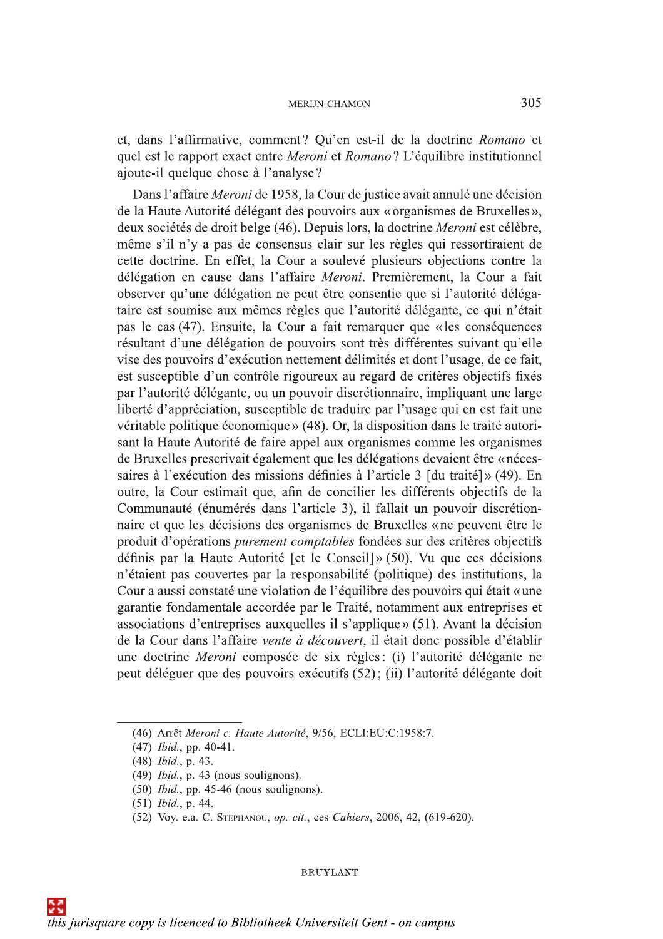et, dans l'affirmative, comment? Qu'en est-il de la doctrine Romano et quel est le rapport exact entre Meroni et Romano? L'équilibre institutionnel ajoute-il quelque chose à l'analyse?

Dans l'affaire Meroni de 1958, la Cour de justice avait annulé une décision de la Haute Autorité délégant des pouvoirs aux « organismes de Bruxelles », deux sociétés de droit belge (46). Depuis lors, la doctrine Meroni est célèbre, même s'il n'y a pas de consensus clair sur les règles qui ressortiraient de cette doctrine. En effet, la Cour a soulevé plusieurs objections contre la délégation en cause dans l'affaire Meroni. Premièrement, la Cour a fait observer qu'une délégation ne peut être consentie que si l'autorité délégataire est soumise aux mêmes règles que l'autorité délégante, ce qui n'était pas le cas (47). Ensuite, la Cour a fait remarquer que « les conséquences résultant d'une délégation de pouvoirs sont très différentes suivant qu'elle vise des pouvoirs d'exécution nettement délimités et dont l'usage, de ce fait, est susceptible d'un contrôle rigoureux au regard de critères objectifs fixés par l'autorité délégante, ou un pouvoir discrétionnaire, impliquant une large liberté d'appréciation, susceptible de traduire par l'usage qui en est fait une véritable politique économique » (48). Or, la disposition dans le traité autorisant la Haute Autorité de faire appel aux organismes comme les organismes de Bruxelles prescrivait également que les délégations devaient être « nécessaires à l'exécution des missions définies à l'article 3 [du traité]» (49). En outre, la Cour estimait que, afin de concilier les différents objectifs de la Communauté (énumérés dans l'article 3), il fallait un pouvoir discrétionnaire et que les décisions des organismes de Bruxelles « ne peuvent être le produit d'opérations *purement comptables* fondées sur des critères objectifs définis par la Haute Autorité [et le Conseil]» (50). Vu que ces décisions n'étaient pas couvertes par la responsabilité (politique) des institutions, la Cour a aussi constaté une violation de l'équilibre des pouvoirs qui était «une garantie fondamentale accordée par le Traité, notamment aux entreprises et associations d'entreprises auxquelles il s'applique» (51). Avant la décision de la Cour dans l'affaire vente à découvert, il était donc possible d'établir une doctrine *Meroni* composée de six règles: (i) l'autorité délégante ne peut déléguer que des pouvoirs exécutifs (52); (ii) l'autorité délégante doit

<sup>(46)</sup> Arrêt Meroni c. Haute Autorité, 9/56, ECLI:EU:C:1958:7.

 $(47)$  *Ibid.*, pp. 40-41.

<sup>(48)</sup> Ibid., p. 43.

 $(49)$  *Ibid.*, p. 43 (nous soulignons).

 $(50)$  *Ibid.*, pp. 45-46 (nous soulignons).

<sup>(51)</sup> Ibid., p. 44.

<sup>(52)</sup> Voy. e.a. C. STEPHANOU, op. cit., ces Cahiers, 2006, 42, (619-620).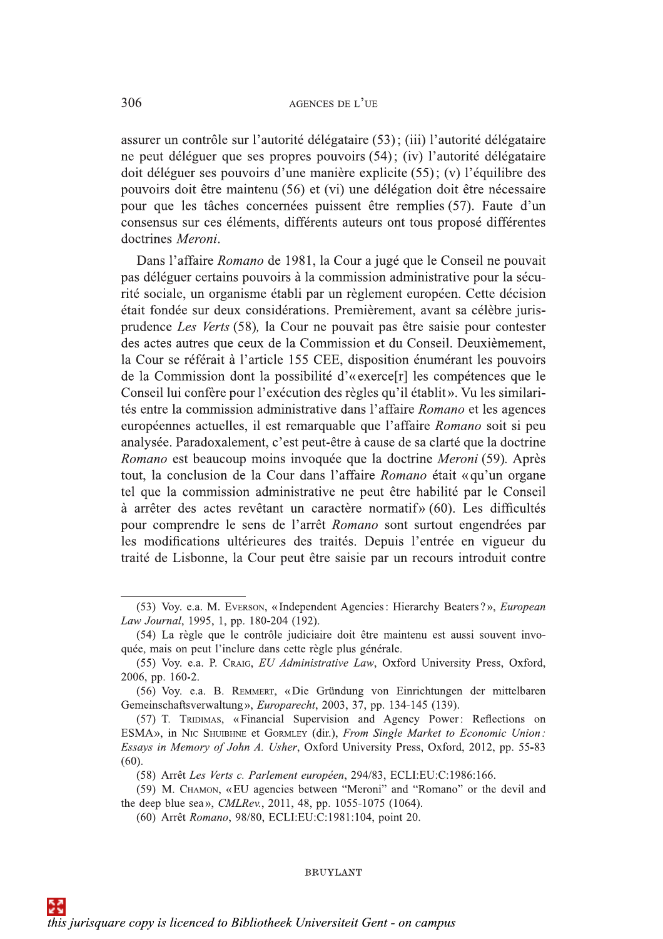assurer un contrôle sur l'autorité délégataire (53); (iii) l'autorité délégataire ne peut déléguer que ses propres pouvoirs (54); (iv) l'autorité délégataire doit déléguer ses pouvoirs d'une manière explicite (55); (v) l'équilibre des pouvoirs doit être maintenu (56) et (vi) une délégation doit être nécessaire pour que les tâches concernées puissent être remplies (57). Faute d'un consensus sur ces éléments, différents auteurs ont tous proposé différentes doctrines Meroni.

Dans l'affaire Romano de 1981, la Cour a jugé que le Conseil ne pouvait pas déléguer certains pouvoirs à la commission administrative pour la sécurité sociale, un organisme établi par un règlement européen. Cette décision était fondée sur deux considérations. Premièrement, avant sa célèbre jurisprudence Les Verts (58), la Cour ne pouvait pas être saisie pour contester des actes autres que ceux de la Commission et du Conseil. Deuxièmement, la Cour se référait à l'article 155 CEE, disposition énumérant les pouvoirs de la Commission dont la possibilité d'« exerce<sup>[r]</sup> les compétences que le Conseil lui confère pour l'exécution des règles qu'il établit». Vu les similarités entre la commission administrative dans l'affaire Romano et les agences européennes actuelles, il est remarquable que l'affaire Romano soit si peu analysée. Paradoxalement, c'est peut-être à cause de sa clarté que la doctrine Romano est beaucoup moins invoquée que la doctrine Meroni (59). Après tout, la conclusion de la Cour dans l'affaire Romano était « qu'un organe tel que la commission administrative ne peut être habilité par le Conseil à arrêter des actes revêtant un caractère normatif» (60). Les difficultés pour comprendre le sens de l'arrêt Romano sont surtout engendrées par les modifications ultérieures des traités. Depuis l'entrée en vigueur du traité de Lisbonne, la Cour peut être saisie par un recours introduit contre

<sup>(53)</sup> Voy. e.a. M. Everson, «Independent Agencies: Hierarchy Beaters?», European Law Journal, 1995, 1, pp. 180-204 (192).

<sup>(54)</sup> La règle que le contrôle judiciaire doit être maintenu est aussi souvent invoquée, mais on peut l'inclure dans cette règle plus générale.

<sup>(55)</sup> Voy. e.a. P. Craig, EU Administrative Law, Oxford University Press, Oxford, 2006, pp. 160-2.

<sup>(56)</sup> Voy. e.a. B. REMMERT, «Die Gründung von Einrichtungen der mittelbaren Gemeinschaftsverwaltung», Europarecht, 2003, 37, pp. 134-145 (139).

<sup>(57)</sup> T. TRIDIMAS, «Financial Supervision and Agency Power: Reflections on ESMA», in NIC SHUIBHNE et GORMLEY (dir.), From Single Market to Economic Union: Essays in Memory of John A. Usher, Oxford University Press, Oxford, 2012, pp. 55-83  $(60).$ 

<sup>(58)</sup> Arrêt Les Verts c. Parlement européen, 294/83, ECLI:EU:C:1986:166.

<sup>(59)</sup> M. CHAMON, «EU agencies between "Meroni" and "Romano" or the devil and the deep blue sea», CMLRev., 2011, 48, pp. 1055-1075 (1064).

<sup>(60)</sup> Arrêt Romano, 98/80, ECLI:EU:C:1981:104, point 20.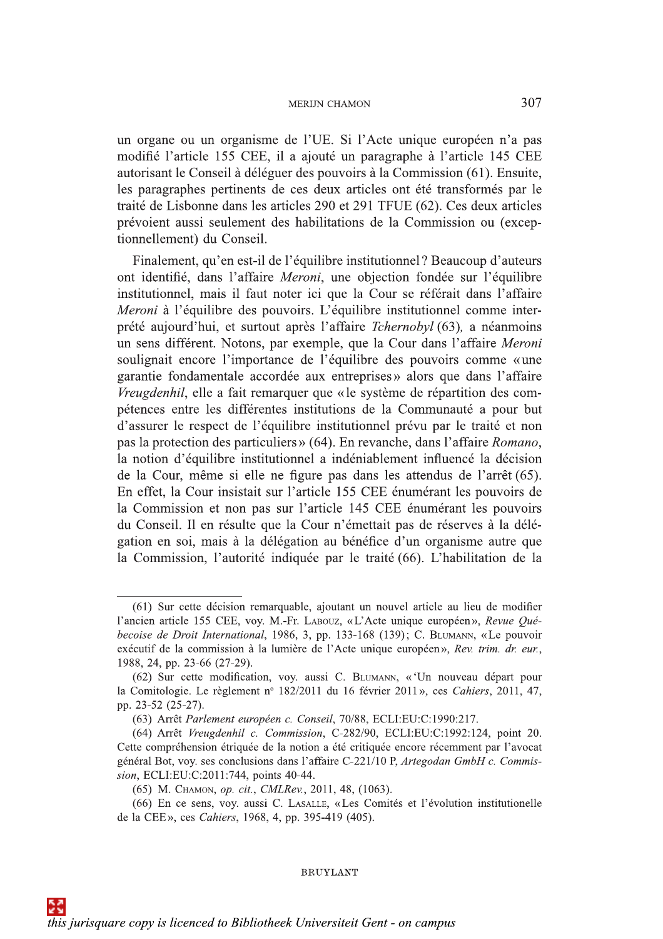un organe ou un organisme de l'UE. Si l'Acte unique européen n'a pas modifié l'article 155 CEE, il a ajouté un paragraphe à l'article 145 CEE autorisant le Conseil à déléguer des pouvoirs à la Commission (61). Ensuite, les paragraphes pertinents de ces deux articles ont été transformés par le traité de Lisbonne dans les articles 290 et 291 TFUE (62). Ces deux articles prévoient aussi seulement des habilitations de la Commission ou (exceptionnellement) du Conseil.

Finalement, qu'en est-il de l'équilibre institutionnel? Beaucoup d'auteurs ont identifié, dans l'affaire Meroni, une objection fondée sur l'équilibre institutionnel, mais il faut noter ici que la Cour se référait dans l'affaire Meroni à l'équilibre des pouvoirs. L'équilibre institutionnel comme interprété aujourd'hui, et surtout après l'affaire *Tchernobyl* (63), a néanmoins un sens différent. Notons, par exemple, que la Cour dans l'affaire Meroni soulignait encore l'importance de l'équilibre des pouvoirs comme «une garantie fondamentale accordée aux entreprises» alors que dans l'affaire Vreugdenhil, elle a fait remarquer que « le système de répartition des compétences entre les différentes institutions de la Communauté a pour but d'assurer le respect de l'équilibre institutionnel prévu par le traité et non pas la protection des particuliers » (64). En revanche, dans l'affaire Romano, la notion d'équilibre institutionnel a indéniablement influencé la décision de la Cour, même si elle ne figure pas dans les attendus de l'arrêt (65). En effet, la Cour insistait sur l'article 155 CEE énumérant les pouvoirs de la Commission et non pas sur l'article 145 CEE énumérant les pouvoirs du Conseil. Il en résulte que la Cour n'émettait pas de réserves à la délégation en soi, mais à la délégation au bénéfice d'un organisme autre que la Commission, l'autorité indiquée par le traité (66). L'habilitation de la

<sup>(61)</sup> Sur cette décision remarquable, ajoutant un nouvel article au lieu de modifier l'ancien article 155 CEE, voy. M.-Fr. LABOUZ, «L'Acte unique européen», Revue Québecoise de Droit International, 1986, 3, pp. 133-168 (139); C. BLUMANN, «Le pouvoir exécutif de la commission à la lumière de l'Acte unique européen», Rev. trim. dr. eur., 1988, 24, pp. 23-66 (27-29).

<sup>(62)</sup> Sur cette modification, voy. aussi C. BLUMANN, «'Un nouveau départ pour la Comitologie. Le règlement nº 182/2011 du 16 février 2011», ces Cahiers, 2011, 47, pp. 23-52 (25-27).

<sup>(63)</sup> Arrêt Parlement européen c. Conseil, 70/88, ECLI:EU:C:1990:217.

<sup>(64)</sup> Arrêt Vreugdenhil c. Commission, C-282/90, ECLI:EU:C:1992:124, point 20. Cette compréhension étriquée de la notion a été critiquée encore récemment par l'avocat général Bot, voy. ses conclusions dans l'affaire C-221/10 P, Artegodan GmbH c. Commission, ECLI:EU:C:2011:744, points 40-44.

<sup>(65)</sup> M. CHAMON, op. cit., CMLRev., 2011, 48, (1063).

<sup>(66)</sup> En ce sens, voy. aussi C. LASALLE, «Les Comités et l'évolution institutionelle de la CEE», ces Cahiers, 1968, 4, pp. 395-419 (405).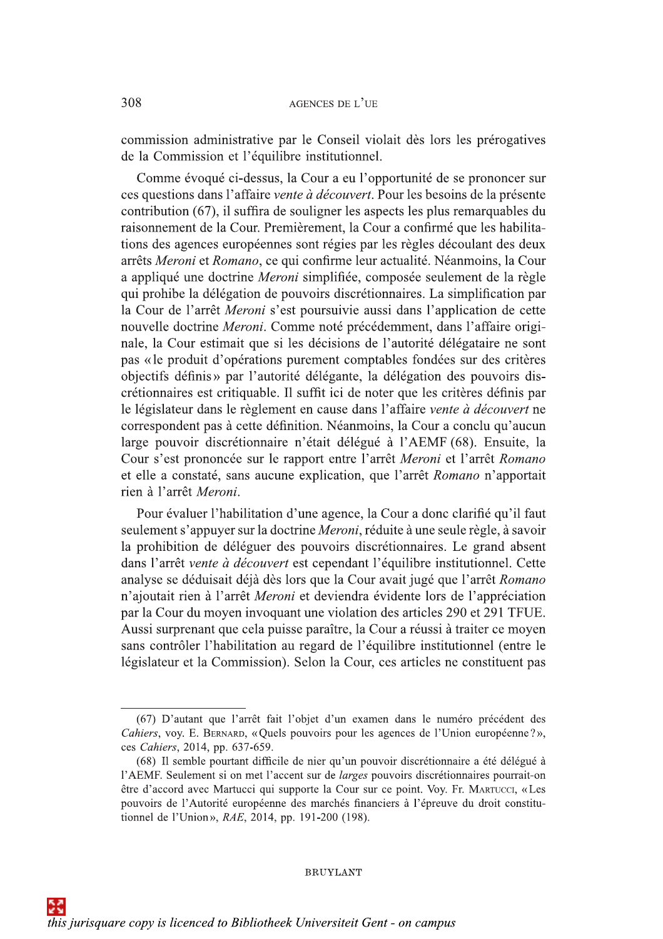commission administrative par le Conseil violait dès lors les prérogatives de la Commission et l'équilibre institutionnel.

Comme évoqué ci-dessus, la Cour a eu l'opportunité de se prononcer sur ces questions dans l'affaire vente à découvert. Pour les besoins de la présente contribution (67), il suffira de souligner les aspects les plus remarquables du raisonnement de la Cour. Premièrement, la Cour a confirmé que les habilitations des agences européennes sont régies par les règles découlant des deux arrêts Meroni et Romano, ce qui confirme leur actualité. Néanmoins, la Cour a appliqué une doctrine Meroni simplifiée, composée seulement de la règle qui prohibe la délégation de pouvoirs discrétionnaires. La simplification par la Cour de l'arrêt *Meroni* s'est poursuivie aussi dans l'application de cette nouvelle doctrine Meroni. Comme noté précédemment, dans l'affaire originale, la Cour estimait que si les décisions de l'autorité délégataire ne sont pas « le produit d'opérations purement comptables fondées sur des critères objectifs définis» par l'autorité délégante, la délégation des pouvoirs discrétionnaires est critiquable. Il suffit ici de noter que les critères définis par le législateur dans le règlement en cause dans l'affaire vente à découvert ne correspondent pas à cette définition. Néanmoins, la Cour a conclu qu'aucun large pouvoir discrétionnaire n'était délégué à l'AEMF (68). Ensuite, la Cour s'est prononcée sur le rapport entre l'arrêt Meroni et l'arrêt Romano et elle a constaté, sans aucune explication, que l'arrêt Romano n'apportait rien à l'arrêt Meroni.

Pour évaluer l'habilitation d'une agence, la Cour a donc clarifié qu'il faut seulement s'appuyer sur la doctrine *Meroni*, réduite à une seule règle, à savoir la prohibition de déléguer des pouvoirs discrétionnaires. Le grand absent dans l'arrêt vente à découvert est cependant l'équilibre institutionnel. Cette analyse se déduisait déjà dès lors que la Cour avait jugé que l'arrêt Romano n'ajoutait rien à l'arrêt Meroni et deviendra évidente lors de l'appréciation par la Cour du moyen invoquant une violation des articles 290 et 291 TFUE. Aussi surprenant que cela puisse paraître, la Cour a réussi à traiter ce moyen sans contrôler l'habilitation au regard de l'équilibre institutionnel (entre le législateur et la Commission). Selon la Cour, ces articles ne constituent pas

<sup>(67)</sup> D'autant que l'arrêt fait l'objet d'un examen dans le numéro précédent des Cahiers, voy. E. BERNARD, «Quels pouvoirs pour les agences de l'Union européenne?», ces Cahiers, 2014, pp. 637-659.

<sup>(68)</sup> Il semble pourtant difficile de nier qu'un pouvoir discrétionnaire a été délégué à l'AEMF. Seulement si on met l'accent sur de *larges* pouvoirs discrétionnaires pourrait-on être d'accord avec Martucci qui supporte la Cour sur ce point. Voy. Fr. MARTUCCI, «Les pouvoirs de l'Autorité européenne des marchés financiers à l'épreuve du droit constitutionnel de l'Union», RAE, 2014, pp. 191-200 (198).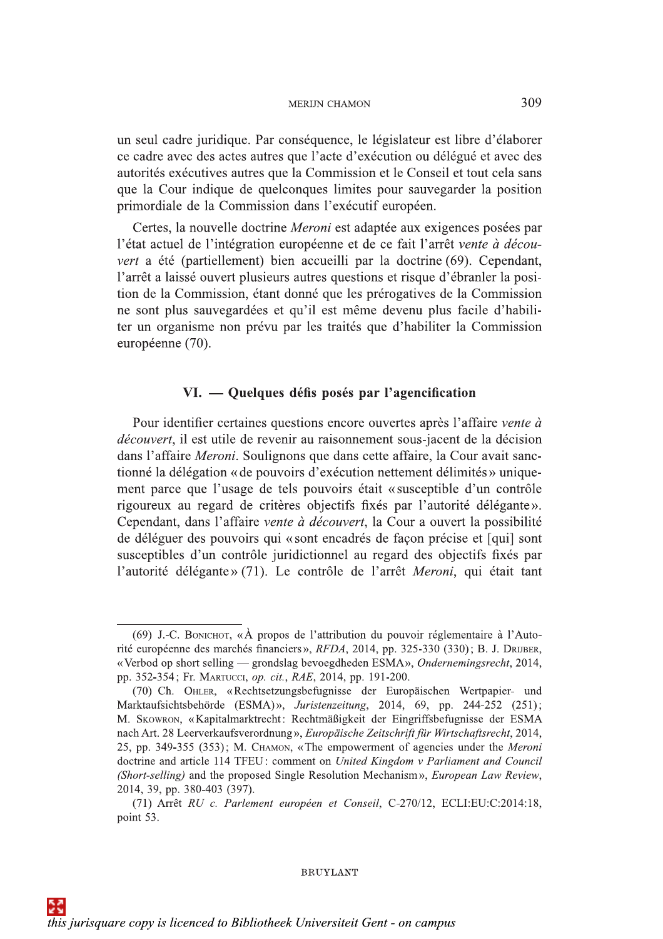un seul cadre juridique. Par conséquence, le législateur est libre d'élaborer ce cadre avec des actes autres que l'acte d'exécution ou délégué et avec des autorités exécutives autres que la Commission et le Conseil et tout cela sans que la Cour indique de quelconques limites pour sauvegarder la position primordiale de la Commission dans l'exécutif européen.

Certes, la nouvelle doctrine *Meroni* est adaptée aux exigences posées par l'état actuel de l'intégration européenne et de ce fait l'arrêt vente à découvert a été (partiellement) bien accueilli par la doctrine (69). Cependant, l'arrêt a laissé ouvert plusieurs autres questions et risque d'ébranler la position de la Commission, étant donné que les prérogatives de la Commission ne sont plus sauvegardées et qu'il est même devenu plus facile d'habiliter un organisme non prévu par les traités que d'habiliter la Commission européenne (70).

## VI. — Quelques défis posés par l'agencification

Pour identifier certaines questions encore ouvertes après l'affaire vente à découvert, il est utile de revenir au raisonnement sous-jacent de la décision dans l'affaire Meroni. Soulignons que dans cette affaire, la Cour avait sanctionné la délégation « de pouvoirs d'exécution nettement délimités » uniquement parce que l'usage de tels pouvoirs était «susceptible d'un contrôle rigoureux au regard de critères objectifs fixés par l'autorité délégante». Cependant, dans l'affaire vente à découvert, la Cour a ouvert la possibilité de déléguer des pouvoirs qui « sont encadrés de façon précise et [qui] sont susceptibles d'un contrôle juridictionnel au regard des objectifs fixés par l'autorité délégante» (71). Le contrôle de l'arrêt Meroni, qui était tant

**BRUYLANT** 

309

<sup>(69)</sup> J.-C. BONICHOT, «À propos de l'attribution du pouvoir réglementaire à l'Autorité européenne des marchés financiers», RFDA, 2014, pp. 325-330 (330); B. J. DRIJBER, «Verbod op short selling — grondslag bevoegdheden ESMA», Ondernemingsrecht, 2014, pp. 352-354; Fr. MARTUCCI, op. cit., RAE, 2014, pp. 191-200.

<sup>(70)</sup> Ch. OHLER, «Rechtsetzungsbefugnisse der Europäischen Wertpapier- und Marktaufsichtsbehörde (ESMA)», Juristenzeitung, 2014, 69, pp. 244-252 (251); M. Skowron, «Kapitalmarktrecht: Rechtmäßigkeit der Eingriffsbefugnisse der ESMA nach Art. 28 Leerverkaufsverordnung», Europäische Zeitschrift für Wirtschaftsrecht, 2014, 25, pp. 349-355 (353); M. CHAMON, «The empowerment of agencies under the Meroni doctrine and article 114 TFEU: comment on United Kingdom v Parliament and Council (Short-selling) and the proposed Single Resolution Mechanism», European Law Review, 2014, 39, pp. 380-403 (397).

<sup>(71)</sup> Arrêt RU c. Parlement européen et Conseil, C-270/12, ECLI:EU:C:2014:18, point 53.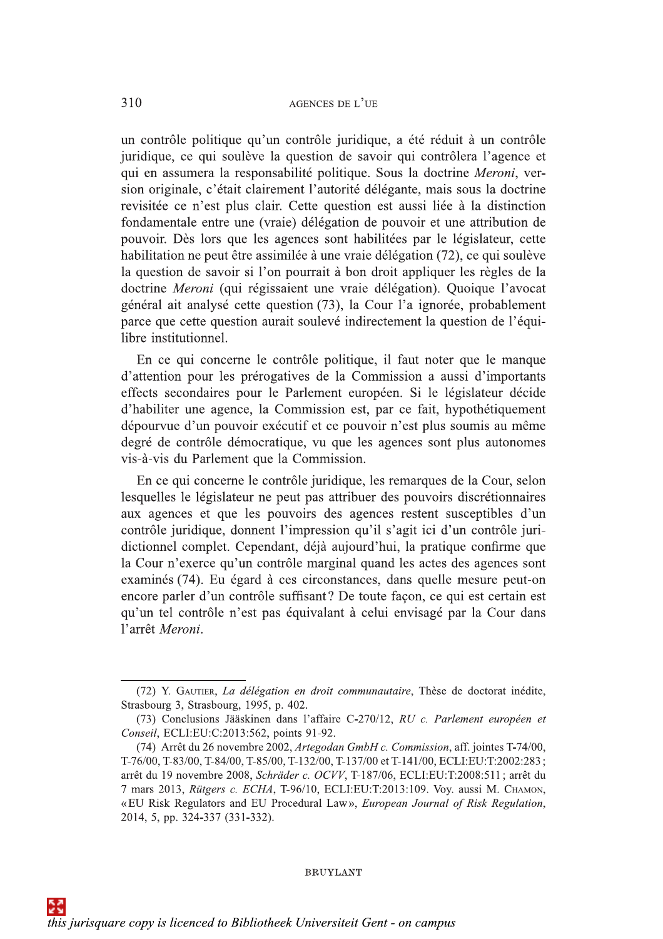un contrôle politique qu'un contrôle juridique, a été réduit à un contrôle juridique, ce qui soulève la question de savoir qui contrôlera l'agence et qui en assumera la responsabilité politique. Sous la doctrine Meroni, version originale, c'était clairement l'autorité délégante, mais sous la doctrine revisitée ce n'est plus clair. Cette question est aussi liée à la distinction fondamentale entre une (vraie) délégation de pouvoir et une attribution de pouvoir. Dès lors que les agences sont habilitées par le législateur, cette habilitation ne peut être assimilée à une vraie délégation (72), ce qui soulève la question de savoir si l'on pourrait à bon droit appliquer les règles de la doctrine Meroni (qui régissaient une vraie délégation). Quoique l'avocat général ait analysé cette question (73), la Cour l'a ignorée, probablement parce que cette question aurait soulevé indirectement la question de l'équilibre institutionnel.

En ce qui concerne le contrôle politique, il faut noter que le manque d'attention pour les prérogatives de la Commission a aussi d'importants effects secondaires pour le Parlement européen. Si le législateur décide d'habiliter une agence, la Commission est, par ce fait, hypothétiquement dépourvue d'un pouvoir exécutif et ce pouvoir n'est plus soumis au même degré de contrôle démocratique, vu que les agences sont plus autonomes vis-à-vis du Parlement que la Commission.

En ce qui concerne le contrôle juridique, les remarques de la Cour, selon lesquelles le législateur ne peut pas attribuer des pouvoirs discrétionnaires aux agences et que les pouvoirs des agences restent susceptibles d'un contrôle juridique, donnent l'impression qu'il s'agit ici d'un contrôle juridictionnel complet. Cependant, déjà aujourd'hui, la pratique confirme que la Cour n'exerce qu'un contrôle marginal quand les actes des agences sont examinés (74). Eu égard à ces circonstances, dans quelle mesure peut-on encore parler d'un contrôle suffisant? De toute façon, ce qui est certain est qu'un tel contrôle n'est pas équivalant à celui envisagé par la Cour dans l'arrêt Meroni.

<sup>(72)</sup> Y. GAUTIER, La délégation en droit communautaire, Thèse de doctorat inédite, Strasbourg 3, Strasbourg, 1995, p. 402.

<sup>(73)</sup> Conclusions Jääskinen dans l'affaire C-270/12, RU c. Parlement européen et Conseil, ECLI:EU:C:2013:562, points 91-92.

<sup>(74)</sup> Arrêt du 26 novembre 2002, Artegodan GmbH c. Commission, aff. jointes T-74/00, T-76/00, T-83/00, T-84/00, T-85/00, T-132/00, T-137/00 et T-141/00, ECLI:EU:T:2002:283; arrêt du 19 novembre 2008, Schräder c. OCVV, T-187/06, ECLI:EU:T:2008:511; arrêt du 7 mars 2013, Rütgers c. ECHA, T-96/10, ECLI:EU:T:2013:109. Vov. aussi M. CHAMON, «EU Risk Regulators and EU Procedural Law», European Journal of Risk Regulation, 2014, 5, pp. 324-337 (331-332).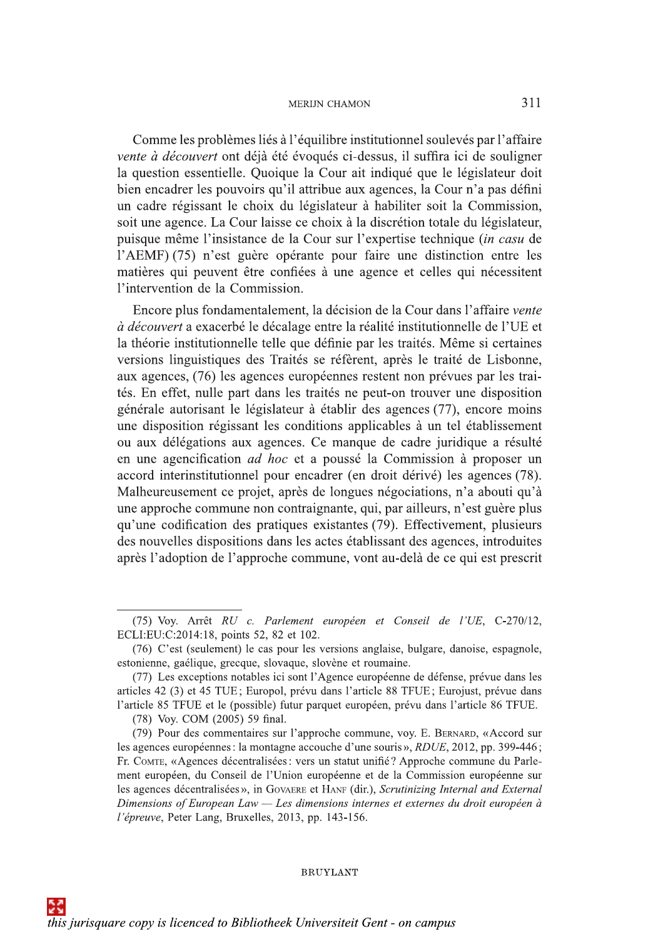Comme les problèmes liés à l'équilibre institutionnel soulevés par l'affaire vente à découvert ont déjà été évoqués ci-dessus, il suffira ici de souligner la question essentielle. Quoique la Cour ait indiqué que le législateur doit bien encadrer les pouvoirs qu'il attribue aux agences, la Cour n'a pas défini un cadre régissant le choix du législateur à habiliter soit la Commission, soit une agence. La Cour laisse ce choix à la discrétion totale du législateur, puisque même l'insistance de la Cour sur l'expertise technique *(in casu* de l'AEMF) (75) n'est guère opérante pour faire une distinction entre les matières qui peuvent être confiées à une agence et celles qui nécessitent l'intervention de la Commission.

Encore plus fondamentalement, la décision de la Cour dans l'affaire vente à découvert a exacerbé le décalage entre la réalité institutionnelle de l'UE et la théorie institutionnelle telle que définie par les traités. Même si certaines versions linguistiques des Traités se réfèrent, après le traité de Lisbonne, aux agences, (76) les agences européennes restent non prévues par les traités. En effet, nulle part dans les traités ne peut-on trouver une disposition générale autorisant le législateur à établir des agences (77), encore moins une disposition régissant les conditions applicables à un tel établissement ou aux délégations aux agences. Ce manque de cadre juridique a résulté en une agencification *ad hoc* et a poussé la Commission à proposer un accord interinstitutionnel pour encadrer (en droit dérivé) les agences (78). Malheureusement ce projet, après de longues négociations, n'a abouti qu'à une approche commune non contraignante, qui, par ailleurs, n'est guère plus qu'une codification des pratiques existantes (79). Effectivement, plusieurs des nouvelles dispositions dans les actes établissant des agences, introduites après l'adoption de l'approche commune, vont au-delà de ce qui est prescrit

<sup>(75)</sup> Voy. Arrêt RU c. Parlement européen et Conseil de l'UE, C-270/12, ECLI:EU:C:2014:18, points 52, 82 et 102.

<sup>(76)</sup> C'est (seulement) le cas pour les versions anglaise, bulgare, danoise, espagnole, estonienne, gaélique, grecque, slovaque, slovène et roumaine.

<sup>(77)</sup> Les exceptions notables ici sont l'Agence européenne de défense, prévue dans les articles 42 (3) et 45 TUE; Europol, prévu dans l'article 88 TFUE; Eurojust, prévue dans l'article 85 TFUE et le (possible) futur parquet européen, prévu dans l'article 86 TFUE.

<sup>(78)</sup> Voy. COM (2005) 59 final.

<sup>(79)</sup> Pour des commentaires sur l'approche commune, voy. E. BERNARD, «Accord sur les agences européennes : la montagne accouche d'une souris », RDUE, 2012, pp. 399-446; Fr. Comre, «Agences décentralisées : vers un statut unifié? Approche commune du Parlement européen, du Conseil de l'Union européenne et de la Commission européenne sur les agences décentralisées», in GOVAERE et HANF (dir.), Scrutinizing Internal and External Dimensions of European Law — Les dimensions internes et externes du droit européen à l'épreuve, Peter Lang, Bruxelles, 2013, pp. 143-156.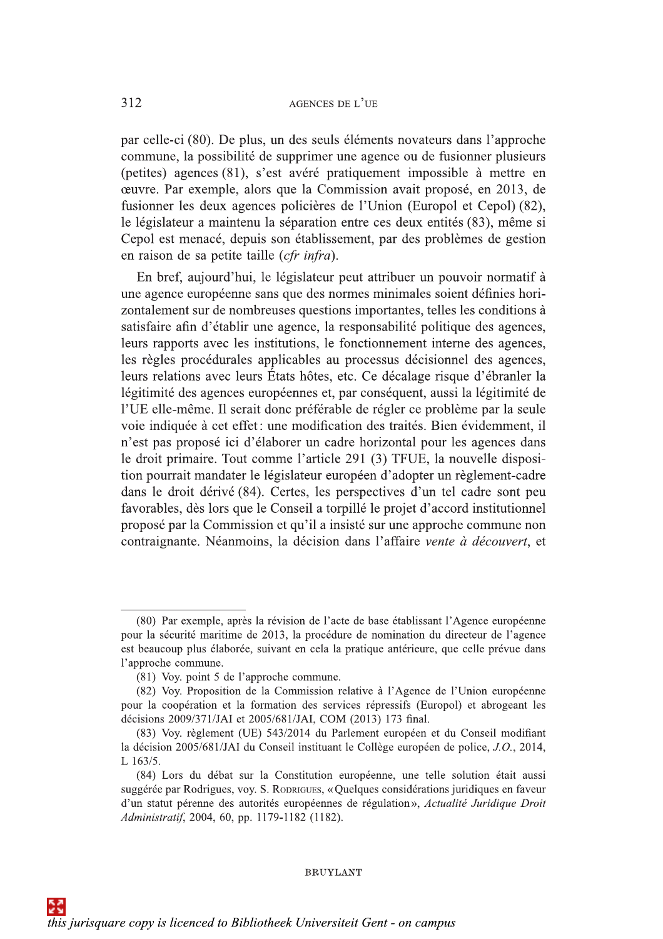312 AGENCES DE L'UE<br>
par celle-ci (80). De plus, un des seuls éléments novateurs dans l'approche<br>
commune, la possibilité de supprimer une agence ou de fusionner plusieurs<br>
(petites) agences (81), s'est avéré prinquement

course, Par exemple, alors que la Commission anyiososé en 20013, de<br>fusionne la commission avait proposé, en 2013, de<br>fusionner les deux agences policières de l'Union (Europol et Cepol) (82),<br>le législateur a maintenu la lears mappers avec les mentuors, le institution, le contentement mierre des agences,<br>les régles procédurales applicables au processus décisionnel des agences,<br>leurs réalisment des agences entrepennes et, par conséquent, a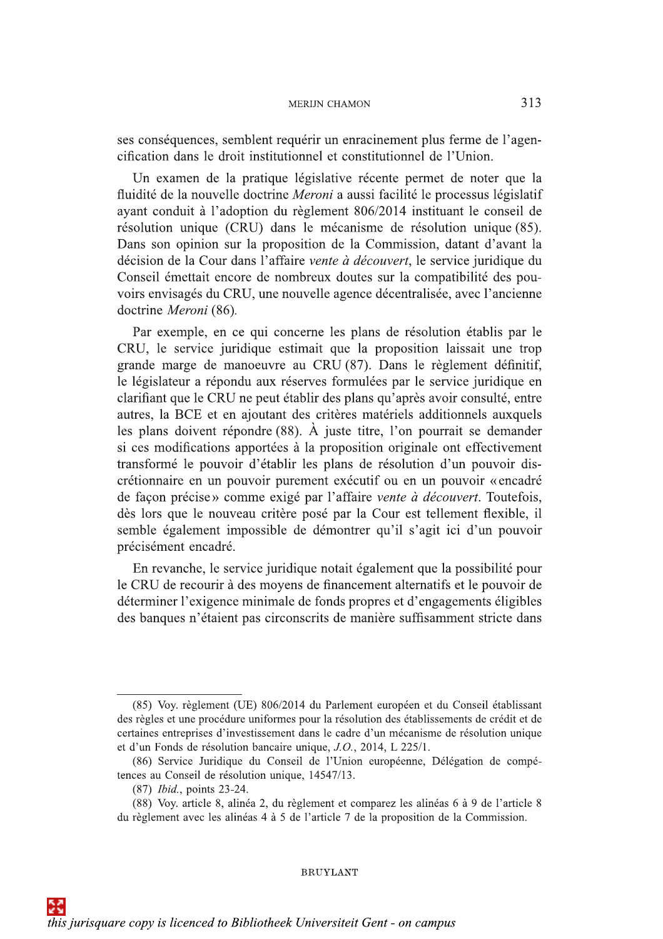ses conséquences, semblent requérir un enracinement plus ferme de l'agencification dans le droit institutionnel et constitutionnel de l'Union.

Un examen de la pratique législative récente permet de noter que la fluidité de la nouvelle doctrine Meroni a aussi facilité le processus législatif ayant conduit à l'adoption du règlement 806/2014 instituant le conseil de résolution unique (CRU) dans le mécanisme de résolution unique (85). Dans son opinion sur la proposition de la Commission, datant d'avant la décision de la Cour dans l'affaire vente à découvert, le service juridique du Conseil émettait encore de nombreux doutes sur la compatibilité des pouvoirs envisagés du CRU, une nouvelle agence décentralisée, avec l'ancienne doctrine Meroni (86).

Par exemple, en ce qui concerne les plans de résolution établis par le CRU, le service juridique estimait que la proposition laissait une trop grande marge de manoeuvre au CRU (87). Dans le règlement définitif, le législateur a répondu aux réserves formulées par le service juridique en clarifiant que le CRU ne peut établir des plans qu'après avoir consulté, entre autres, la BCE et en ajoutant des critères matériels additionnels auxquels les plans doivent répondre  $(88)$ . À juste titre, l'on pourrait se demander si ces modifications apportées à la proposition originale ont effectivement transformé le pouvoir d'établir les plans de résolution d'un pouvoir discrétionnaire en un pouvoir purement exécutif ou en un pouvoir «encadré de façon précise» comme exigé par l'affaire vente à découvert. Toutefois, dès lors que le nouveau critère posé par la Cour est tellement flexible, il semble également impossible de démontrer qu'il s'agit ici d'un pouvoir précisément encadré.

En revanche, le service juridique notait également que la possibilité pour le CRU de recourir à des moyens de financement alternatifs et le pouvoir de déterminer l'exigence minimale de fonds propres et d'engagements éligibles des banques n'étaient pas circonscrits de manière suffisamment stricte dans

<sup>(85)</sup> Voy. règlement (UE) 806/2014 du Parlement européen et du Conseil établissant des règles et une procédure uniformes pour la résolution des établissements de crédit et de certaines entreprises d'investissement dans le cadre d'un mécanisme de résolution unique et d'un Fonds de résolution bancaire unique, J.O., 2014, L 225/1.

<sup>(86)</sup> Service Juridique du Conseil de l'Union européenne, Délégation de compétences au Conseil de résolution unique, 14547/13.

<sup>(87)</sup> *Ibid.*, points 23-24.

<sup>(88)</sup> Voy. article 8, alinéa 2, du règlement et comparez les alinéas 6 à 9 de l'article 8 du règlement avec les alinéas 4 à 5 de l'article 7 de la proposition de la Commission.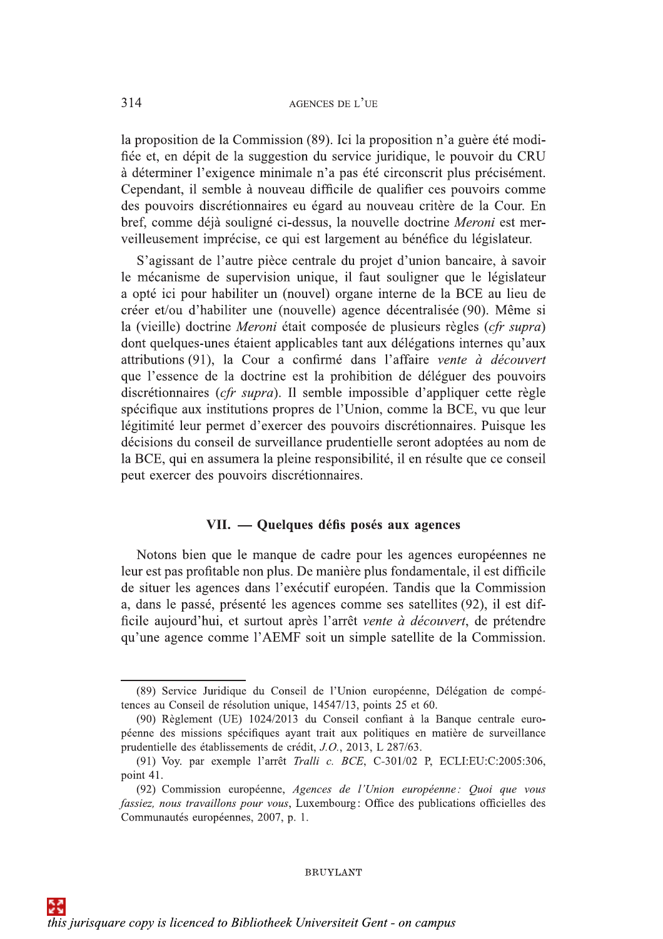la proposition de la Commission (89). Ici la proposition n'a guère été modifiée et, en dépit de la suggestion du service juridique, le pouvoir du CRU à déterminer l'exigence minimale n'a pas été circonscrit plus précisément. Cependant, il semble à nouveau difficile de qualifier ces pouvoirs comme des pouvoirs discrétionnaires eu égard au nouveau critère de la Cour. En bref, comme déjà souligné ci-dessus, la nouvelle doctrine Meroni est merveilleusement imprécise, ce qui est largement au bénéfice du législateur.

S'agissant de l'autre pièce centrale du projet d'union bancaire, à savoir le mécanisme de supervision unique, il faut souligner que le législateur a opté ici pour habiliter un (nouvel) organe interne de la BCE au lieu de créer et/ou d'habiliter une (nouvelle) agence décentralisée (90). Même si la (vieille) doctrine Meroni était composée de plusieurs règles (*cfr supra*) dont quelques-unes étaient applicables tant aux délégations internes qu'aux attributions (91), la Cour a confirmé dans l'affaire vente à découvert que l'essence de la doctrine est la prohibition de déléguer des pouvoirs discrétionnaires (*cfr supra*). Il semble impossible d'appliquer cette règle spécifique aux institutions propres de l'Union, comme la BCE, vu que leur légitimité leur permet d'exercer des pouvoirs discrétionnaires. Puisque les décisions du conseil de surveillance prudentielle seront adoptées au nom de la BCE, qui en assumera la pleine responsibilité, il en résulte que ce conseil peut exercer des pouvoirs discrétionnaires.

## VII. — Quelques défis posés aux agences

Notons bien que le manque de cadre pour les agences européennes ne leur est pas profitable non plus. De manière plus fondamentale, il est difficile de situer les agences dans l'exécutif européen. Tandis que la Commission a, dans le passé, présenté les agences comme ses satellites (92), il est difficile aujourd'hui, et surtout après l'arrêt vente à découvert, de prétendre qu'une agence comme l'AEMF soit un simple satellite de la Commission.

<sup>(89)</sup> Service Juridique du Conseil de l'Union européenne, Délégation de compétences au Conseil de résolution unique, 14547/13, points 25 et 60.

<sup>(90)</sup> Règlement (UE) 1024/2013 du Conseil confiant à la Banque centrale européenne des missions spécifiques ayant trait aux politiques en matière de surveillance prudentielle des établissements de crédit, J.O., 2013, L 287/63.

<sup>(91)</sup> Voy. par exemple l'arrêt Tralli c. BCE, C-301/02 P, ECLI:EU:C:2005:306, point 41.

<sup>(92)</sup> Commission européenne, Agences de l'Union européenne: Quoi que vous fassiez, nous travaillons pour vous, Luxembourg: Office des publications officielles des Communautés européennes, 2007, p. 1.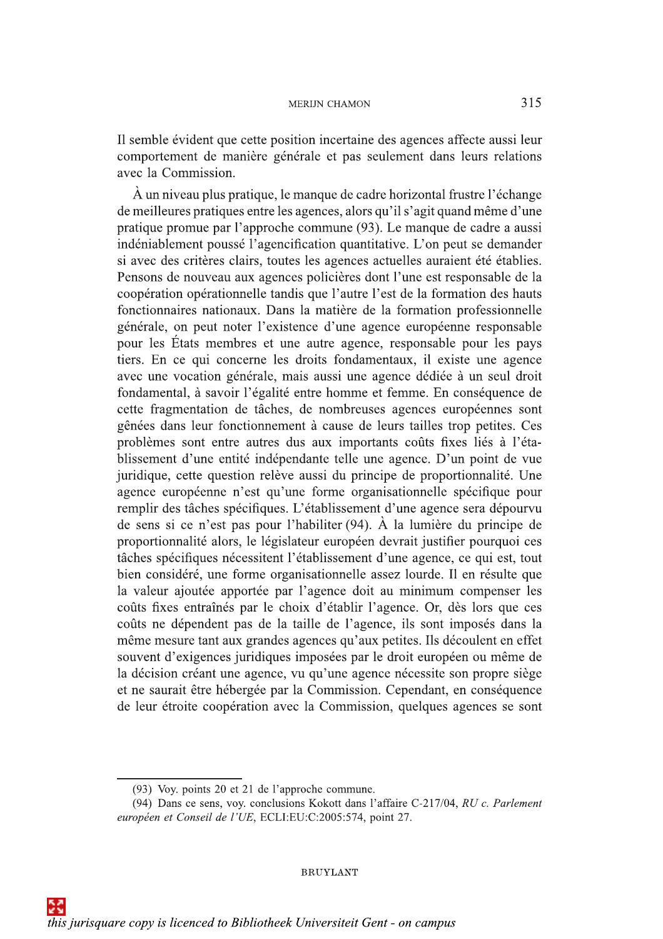Il semble évident que cette position incertaine des agences affecte aussi leur comportement de manière générale et pas seulement dans leurs relations avec la Commission.

À un niveau plus pratique, le manque de cadre horizontal frustre l'échange de meilleures pratiques entre les agences, alors qu'il s'agit quand même d'une pratique promue par l'approche commune (93). Le manque de cadre a aussi indéniablement poussé l'agencification quantitative. L'on peut se demander si avec des critères clairs, toutes les agences actuelles auraient été établies. Pensons de nouveau aux agences policières dont l'une est responsable de la coopération opérationnelle tandis que l'autre l'est de la formation des hauts fonctionnaires nationaux. Dans la matière de la formation professionnelle générale, on peut noter l'existence d'une agence européenne responsable pour les États membres et une autre agence, responsable pour les pays tiers. En ce qui concerne les droits fondamentaux, il existe une agence avec une vocation générale, mais aussi une agence dédiée à un seul droit fondamental, à savoir l'égalité entre homme et femme. En conséquence de cette fragmentation de tâches, de nombreuses agences européennes sont gênées dans leur fonctionnement à cause de leurs tailles trop petites. Ces problèmes sont entre autres dus aux importants coûts fixes liés à l'établissement d'une entité indépendante telle une agence. D'un point de vue juridique, cette question relève aussi du principe de proportionnalité. Une agence européenne n'est qu'une forme organisationnelle spécifique pour remplir des tâches spécifiques. L'établissement d'une agence sera dépourvu de sens si ce n'est pas pour l'habiliter (94). À la lumière du principe de proportionnalité alors, le législateur européen devrait justifier pourquoi ces tâches spécifiques nécessitent l'établissement d'une agence, ce qui est, tout bien considéré, une forme organisationnelle assez lourde. Il en résulte que la valeur ajoutée apportée par l'agence doit au minimum compenser les coûts fixes entraînés par le choix d'établir l'agence. Or, dès lors que ces coûts ne dépendent pas de la taille de l'agence, ils sont imposés dans la même mesure tant aux grandes agences qu'aux petites. Ils découlent en effet souvent d'exigences juridiques imposées par le droit européen ou même de la décision créant une agence, vu qu'une agence nécessite son propre siège et ne saurait être hébergée par la Commission. Cependant, en conséquence de leur étroite coopération avec la Commission, quelques agences se sont

<sup>(93)</sup> Voy. points 20 et 21 de l'approche commune.

<sup>(94)</sup> Dans ce sens, voy. conclusions Kokott dans l'affaire C-217/04, RU c. Parlement européen et Conseil de l'UE, ECLI:EU:C:2005:574, point 27.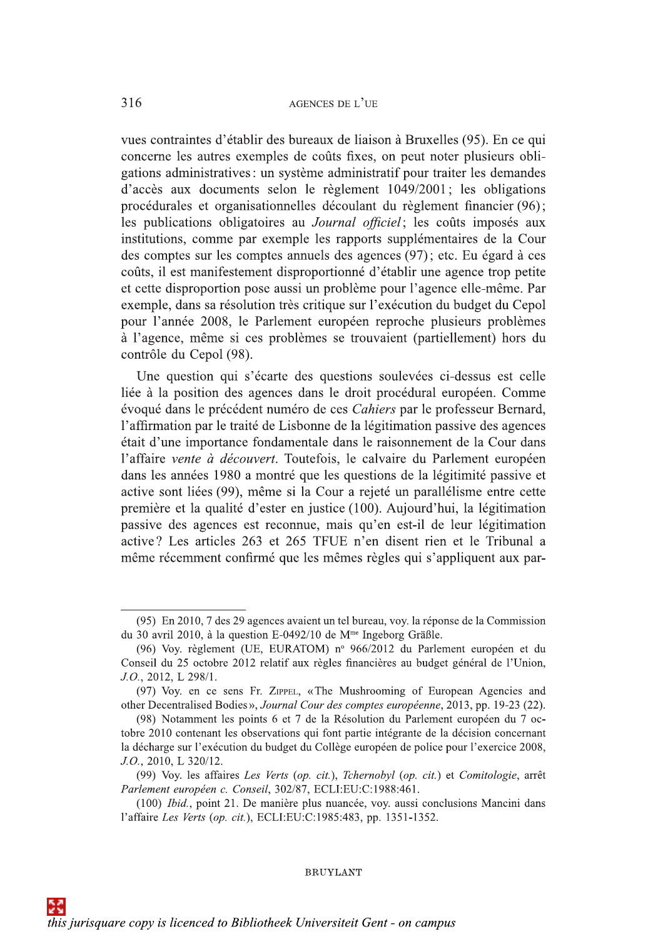vues contraintes d'établir des bureaux de liaison à Bruxelles (95). En ce qui concerne les autres exemples de coûts fixes, on peut noter plusieurs obligations administratives: un système administratif pour traiter les demandes d'accès aux documents selon le règlement 1049/2001; les obligations procédurales et organisationnelles découlant du règlement financier (96); les publications obligatoires au *Journal officiel*; les coûts imposés aux institutions, comme par exemple les rapports supplémentaires de la Cour des comptes sur les comptes annuels des agences (97); etc. Eu égard à ces coûts, il est manifestement disproportionné d'établir une agence trop petite et cette disproportion pose aussi un problème pour l'agence elle-même. Par exemple, dans sa résolution très critique sur l'exécution du budget du Cepol pour l'année 2008, le Parlement européen reproche plusieurs problèmes à l'agence, même si ces problèmes se trouvaient (partiellement) hors du contrôle du Cepol (98).

Une question qui s'écarte des questions soulevées ci-dessus est celle liée à la position des agences dans le droit procédural européen. Comme évoqué dans le précédent numéro de ces Cahiers par le professeur Bernard. l'affirmation par le traité de Lisbonne de la légitimation passive des agences était d'une importance fondamentale dans le raisonnement de la Cour dans l'affaire vente à découvert. Toutefois, le calvaire du Parlement européen dans les années 1980 a montré que les questions de la légitimité passive et active sont liées (99), même si la Cour a rejeté un parallélisme entre cette première et la qualité d'ester en justice (100). Aujourd'hui, la légitimation passive des agences est reconnue, mais qu'en est-il de leur légitimation active? Les articles 263 et 265 TFUE n'en disent rien et le Tribunal a même récemment confirmé que les mêmes règles qui s'appliquent aux par-

<sup>(95)</sup> En 2010, 7 des 29 agences avaient un tel bureau, voy. la réponse de la Commission du 30 avril 2010, à la question E-0492/10 de M<sup>me</sup> Ingeborg Gräßle.

<sup>(96)</sup> Voy. règlement (UE, EURATOM) nº 966/2012 du Parlement européen et du Conseil du 25 octobre 2012 relatif aux règles financières au budget général de l'Union, J.O., 2012, L 298/1.

<sup>(97)</sup> Voy, en ce sens Fr. ZIPPEL, «The Mushrooming of European Agencies and other Decentralised Bodies», Journal Cour des comptes européenne, 2013, pp. 19-23 (22).

<sup>(98)</sup> Notamment les points 6 et 7 de la Résolution du Parlement européen du 7 octobre 2010 contenant les observations qui font partie intégrante de la décision concernant la décharge sur l'exécution du budget du Collège européen de police pour l'exercice 2008,  $J.O., 2010, L. 320/12.$ 

<sup>(99)</sup> Voy. les affaires Les Verts (op. cit.), Tchernobyl (op. cit.) et Comitologie, arrêt Parlement européen c. Conseil, 302/87, ECLI:EU:C:1988:461.

<sup>(100)</sup> Ibid., point 21. De manière plus nuancée, voy. aussi conclusions Mancini dans l'affaire Les Verts (op. cit.), ECLI:EU:C:1985:483, pp. 1351-1352.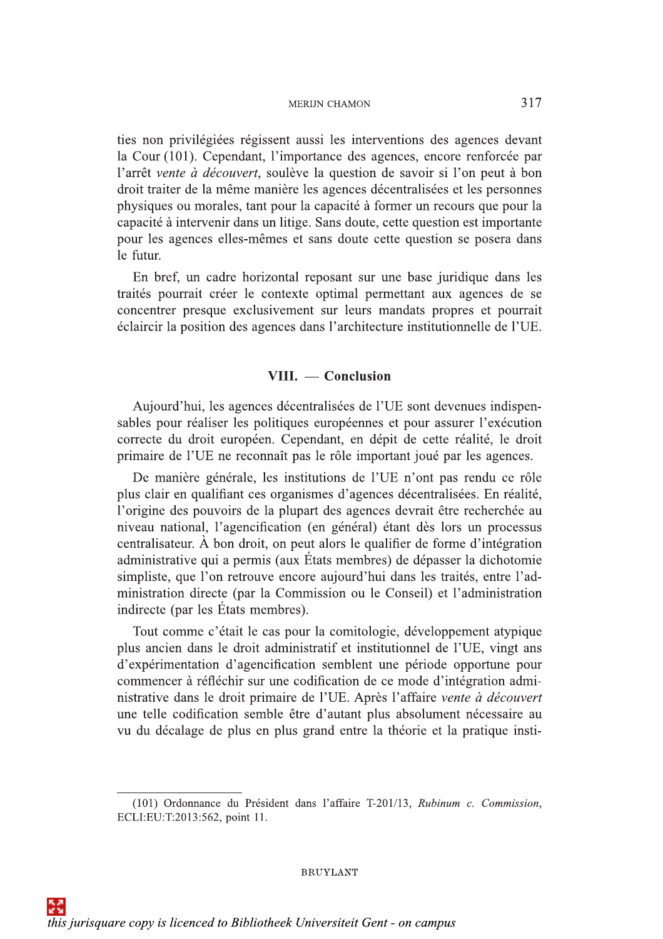ties non privilégiées régissent aussi les interventions des agences devant la Cour (101). Cependant, l'importance des agences, encore renforcée par l'arrêt vente à découvert, soulève la question de savoir si l'on peut à bon droit traiter de la même manière les agences décentralisées et les personnes physiques ou morales, tant pour la capacité à former un recours que pour la capacité à intervenir dans un litige. Sans doute, cette question est importante pour les agences elles-mêmes et sans doute cette question se posera dans le futur.

En bref, un cadre horizontal reposant sur une base juridique dans les traités pourrait créer le contexte optimal permettant aux agences de se concentrer presque exclusivement sur leurs mandats propres et pourrait éclaircir la position des agences dans l'architecture institutionnelle de l'UE.

## VIII. — Conclusion

Aujourd'hui, les agences décentralisées de l'UE sont devenues indispensables pour réaliser les politiques européennes et pour assurer l'exécution correcte du droit européen. Cependant, en dépit de cette réalité, le droit primaire de l'UE ne reconnaît pas le rôle important joué par les agences.

De manière générale, les institutions de l'UE n'ont pas rendu ce rôle plus clair en qualifiant ces organismes d'agences décentralisées. En réalité, l'origine des pouvoirs de la plupart des agences devrait être recherchée au niveau national, l'agencification (en général) étant dès lors un processus centralisateur. À bon droit, on peut alors le qualifier de forme d'intégration administrative qui a permis (aux États membres) de dépasser la dichotomie simpliste, que l'on retrouve encore aujourd'hui dans les traités, entre l'administration directe (par la Commission ou le Conseil) et l'administration indirecte (par les États membres).

Tout comme c'était le cas pour la comitologie, développement atypique plus ancien dans le droit administratif et institutionnel de l'UE, vingt ans d'expérimentation d'agencification semblent une période opportune pour commencer à réfléchir sur une codification de ce mode d'intégration administrative dans le droit primaire de l'UE. Après l'affaire vente à découvert une telle codification semble être d'autant plus absolument nécessaire au vu du décalage de plus en plus grand entre la théorie et la pratique insti-

<sup>(101)</sup> Ordonnance du Président dans l'affaire T-201/13, Rubinum c. Commission, ECLI:EU:T:2013:562, point 11.